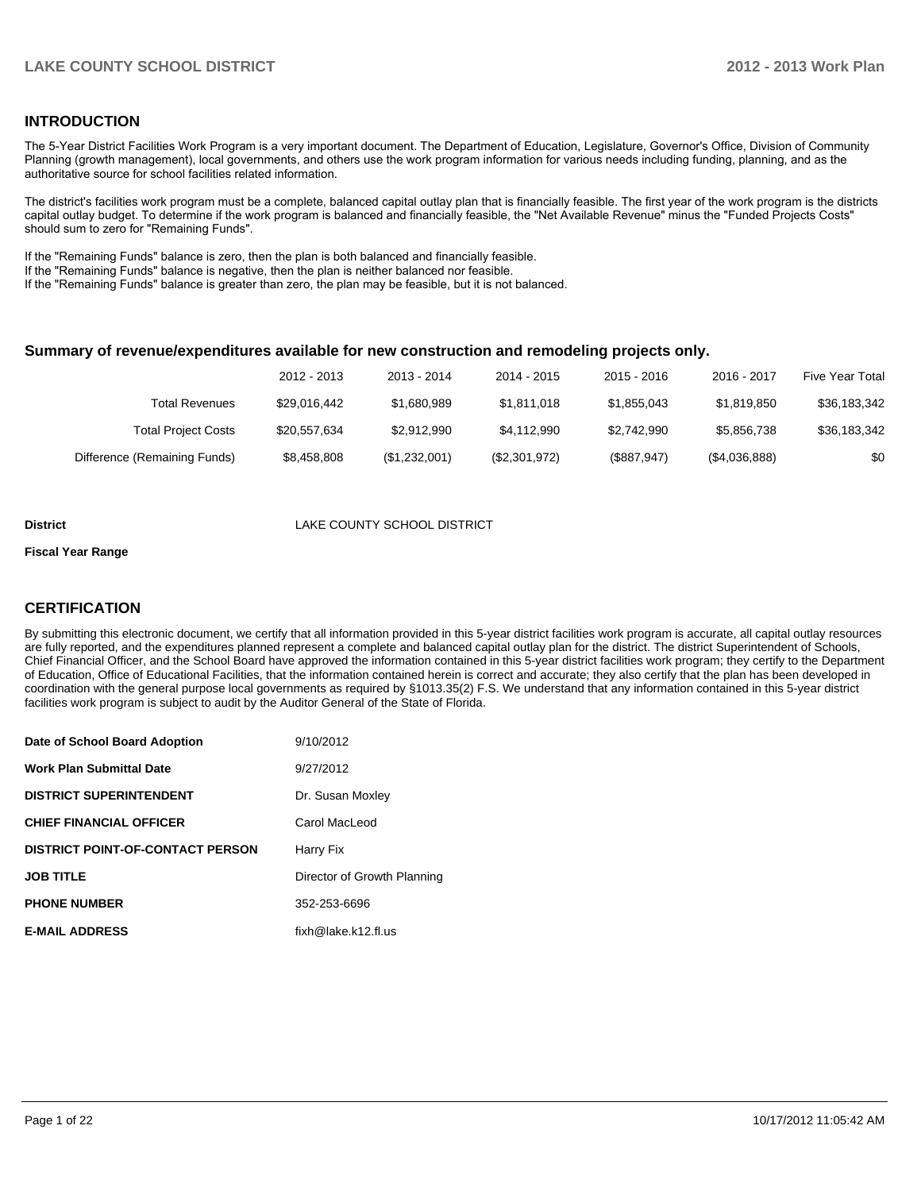#### **INTRODUCTION**

The 5-Year District Facilities Work Program is a very important document. The Department of Education, Legislature, Governor's Office, Division of Community Planning (growth management), local governments, and others use the work program information for various needs including funding, planning, and as the authoritative source for school facilities related information.

The district's facilities work program must be a complete, balanced capital outlay plan that is financially feasible. The first year of the work program is the districts capital outlay budget. To determine if the work program is balanced and financially feasible, the "Net Available Revenue" minus the "Funded Projects Costs" should sum to zero for "Remaining Funds".

If the "Remaining Funds" balance is zero, then the plan is both balanced and financially feasible.

If the "Remaining Funds" balance is negative, then the plan is neither balanced nor feasible.

If the "Remaining Funds" balance is greater than zero, the plan may be feasible, but it is not balanced.

#### **Summary of revenue/expenditures available for new construction and remodeling projects only.**

|                              | 2012 - 2013  | 2013 - 2014   | 2014 - 2015   | $2015 - 2016$ | 2016 - 2017   | <b>Five Year Total</b> |
|------------------------------|--------------|---------------|---------------|---------------|---------------|------------------------|
| Total Revenues               | \$29.016.442 | \$1,680,989   | \$1.811.018   | \$1,855,043   | \$1.819.850   | \$36,183,342           |
| <b>Total Project Costs</b>   | \$20.557.634 | \$2.912.990   | \$4.112.990   | \$2,742,990   | \$5.856.738   | \$36,183,342           |
| Difference (Remaining Funds) | \$8,458,808  | (\$1,232,001) | (\$2,301,972) | (\$887,947)   | (\$4,036,888) | \$0                    |

#### **District District LAKE COUNTY SCHOOL DISTRICT**

#### **Fiscal Year Range**

#### **CERTIFICATION**

By submitting this electronic document, we certify that all information provided in this 5-year district facilities work program is accurate, all capital outlay resources are fully reported, and the expenditures planned represent a complete and balanced capital outlay plan for the district. The district Superintendent of Schools, Chief Financial Officer, and the School Board have approved the information contained in this 5-year district facilities work program; they certify to the Department of Education, Office of Educational Facilities, that the information contained herein is correct and accurate; they also certify that the plan has been developed in coordination with the general purpose local governments as required by §1013.35(2) F.S. We understand that any information contained in this 5-year district facilities work program is subject to audit by the Auditor General of the State of Florida.

| Date of School Board Adoption           | 9/10/2012                    |
|-----------------------------------------|------------------------------|
| <b>Work Plan Submittal Date</b>         | 9/27/2012                    |
| <b>DISTRICT SUPERINTENDENT</b>          | Dr. Susan Moxley             |
| <b>CHIEF FINANCIAL OFFICER</b>          | Carol MacLeod                |
| <b>DISTRICT POINT-OF-CONTACT PERSON</b> | Harry Fix                    |
| <b>JOB TITLE</b>                        | Director of Growth Planning  |
| <b>PHONE NUMBER</b>                     | 352-253-6696                 |
| <b>E-MAIL ADDRESS</b>                   | $fixh@$ lake, $k12$ . fl. us |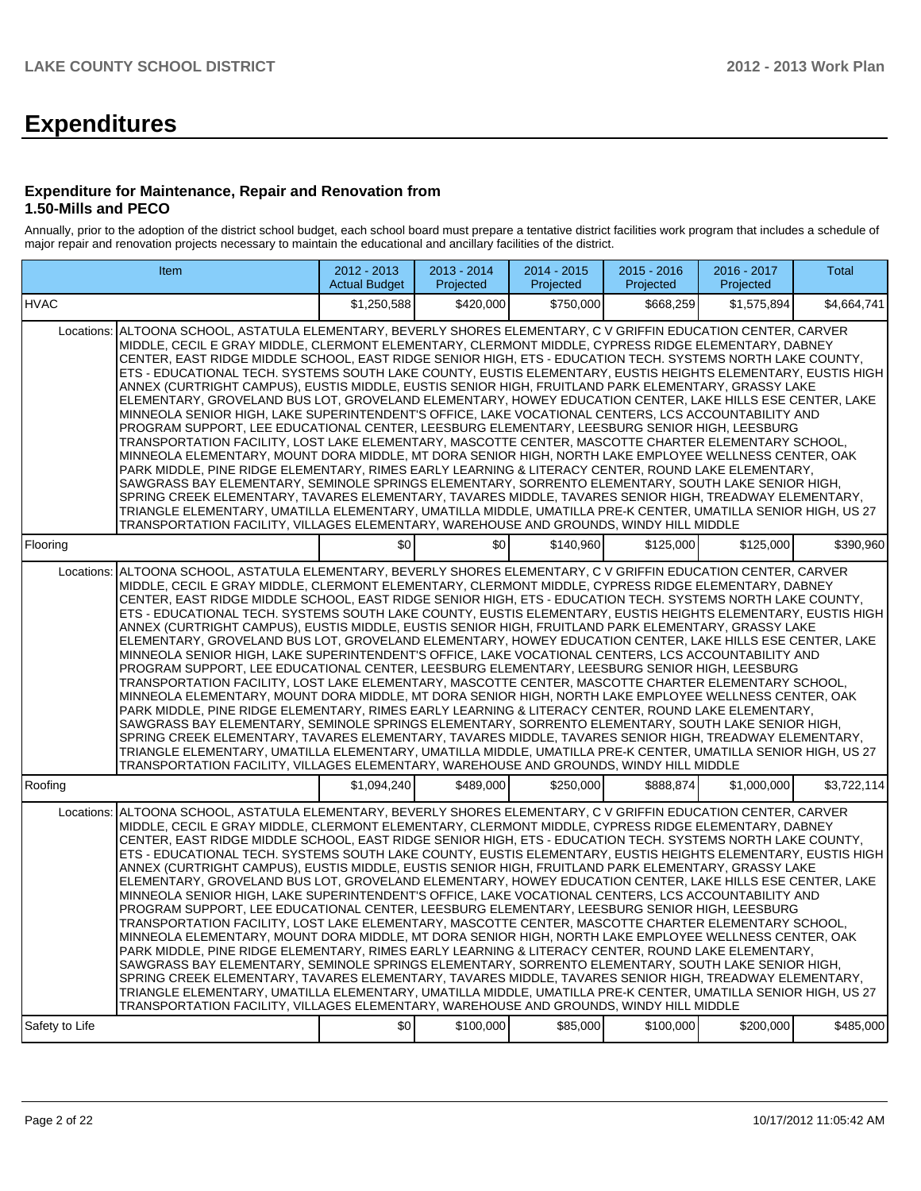# **Expenditures**

#### **Expenditure for Maintenance, Repair and Renovation from 1.50-Mills and PECO**

Annually, prior to the adoption of the district school budget, each school board must prepare a tentative district facilities work program that includes a schedule of major repair and renovation projects necessary to maintain the educational and ancillary facilities of the district.

|                | Item                                                                                                                                                                                                                                                                                                                                                                                                                                                                                                                                                                                                                                                                                                                                                                                                                                                                                                                                                                                                                                                                                                                                                                                                                                                                                                                                                                                                                                                                                                                                                                                                                 | $2012 - 2013$<br><b>Actual Budget</b> | 2013 - 2014<br>Projected | $2014 - 2015$<br>Projected | $2015 - 2016$<br>Projected | 2016 - 2017<br>Projected | Total       |  |  |  |  |
|----------------|----------------------------------------------------------------------------------------------------------------------------------------------------------------------------------------------------------------------------------------------------------------------------------------------------------------------------------------------------------------------------------------------------------------------------------------------------------------------------------------------------------------------------------------------------------------------------------------------------------------------------------------------------------------------------------------------------------------------------------------------------------------------------------------------------------------------------------------------------------------------------------------------------------------------------------------------------------------------------------------------------------------------------------------------------------------------------------------------------------------------------------------------------------------------------------------------------------------------------------------------------------------------------------------------------------------------------------------------------------------------------------------------------------------------------------------------------------------------------------------------------------------------------------------------------------------------------------------------------------------------|---------------------------------------|--------------------------|----------------------------|----------------------------|--------------------------|-------------|--|--|--|--|
| <b>HVAC</b>    |                                                                                                                                                                                                                                                                                                                                                                                                                                                                                                                                                                                                                                                                                                                                                                                                                                                                                                                                                                                                                                                                                                                                                                                                                                                                                                                                                                                                                                                                                                                                                                                                                      | \$1.250.588                           | \$420,000                | \$750,000                  | \$668.259                  | \$1,575,894              | \$4.664.741 |  |  |  |  |
| Locations:     | ALTOONA SCHOOL, ASTATULA ELEMENTARY, BEVERLY SHORES ELEMENTARY, C V GRIFFIN EDUCATION CENTER, CARVER<br>MIDDLE, CECIL E GRAY MIDDLE, CLERMONT ELEMENTARY, CLERMONT MIDDLE, CYPRESS RIDGE ELEMENTARY, DABNEY<br>CENTER, EAST RIDGE MIDDLE SCHOOL, EAST RIDGE SENIOR HIGH, ETS - EDUCATION TECH. SYSTEMS NORTH LAKE COUNTY,<br>ETS - EDUCATIONAL TECH. SYSTEMS SOUTH LAKE COUNTY, EUSTIS ELEMENTARY, EUSTIS HEIGHTS ELEMENTARY, EUSTIS HIGH<br>ANNEX (CURTRIGHT CAMPUS), EUSTIS MIDDLE, EUSTIS SENIOR HIGH, FRUITLAND PARK ELEMENTARY, GRASSY LAKE<br>ELEMENTARY, GROVELAND BUS LOT, GROVELAND ELEMENTARY, HOWEY EDUCATION CENTER, LAKE HILLS ESE CENTER, LAKE<br>MINNEOLA SENIOR HIGH, LAKE SUPERINTENDENT'S OFFICE, LAKE VOCATIONAL CENTERS, LCS ACCOUNTABILITY AND<br>PROGRAM SUPPORT, LEE EDUCATIONAL CENTER, LEESBURG ELEMENTARY, LEESBURG SENIOR HIGH, LEESBURG<br>TRANSPORTATION FACILITY, LOST LAKE ELEMENTARY, MASCOTTE CENTER, MASCOTTE CHARTER ELEMENTARY SCHOOL,<br>MINNEOLA ELEMENTARY, MOUNT DORA MIDDLE, MT DORA SENIOR HIGH, NORTH LAKE EMPLOYEE WELLNESS CENTER, OAK<br>PARK MIDDLE, PINE RIDGE ELEMENTARY, RIMES EARLY LEARNING & LITERACY CENTER, ROUND LAKE ELEMENTARY,<br>SAWGRASS BAY ELEMENTARY, SEMINOLE SPRINGS ELEMENTARY, SORRENTO ELEMENTARY, SOUTH LAKE SENIOR HIGH,<br>SPRING CREEK ELEMENTARY, TAVARES ELEMENTARY, TAVARES MIDDLE, TAVARES SENIOR HIGH, TREADWAY ELEMENTARY,<br>TRIANGLE ELEMENTARY, UMATILLA ELEMENTARY, UMATILLA MIDDLE, UMATILLA PRE-K CENTER, UMATILLA SENIOR HIGH, US 27<br>TRANSPORTATION FACILITY, VILLAGES ELEMENTARY, WAREHOUSE AND GROUNDS, WINDY HILL MIDDLE |                                       |                          |                            |                            |                          |             |  |  |  |  |
| Flooring       |                                                                                                                                                                                                                                                                                                                                                                                                                                                                                                                                                                                                                                                                                                                                                                                                                                                                                                                                                                                                                                                                                                                                                                                                                                                                                                                                                                                                                                                                                                                                                                                                                      | \$0 <sub>l</sub>                      | \$0                      | \$140,960                  | \$125,000                  | \$125,000                | \$390.960   |  |  |  |  |
| Locations:     | ALTOONA SCHOOL, ASTATULA ELEMENTARY, BEVERLY SHORES ELEMENTARY, C V GRIFFIN EDUCATION CENTER, CARVER<br>MIDDLE, CECIL E GRAY MIDDLE, CLERMONT ELEMENTARY, CLERMONT MIDDLE, CYPRESS RIDGE ELEMENTARY, DABNEY<br>CENTER, EAST RIDGE MIDDLE SCHOOL, EAST RIDGE SENIOR HIGH, ETS - EDUCATION TECH. SYSTEMS NORTH LAKE COUNTY,<br>ETS - EDUCATIONAL TECH. SYSTEMS SOUTH LAKE COUNTY, EUSTIS ELEMENTARY, EUSTIS HEIGHTS ELEMENTARY, EUSTIS HIGH<br>ANNEX (CURTRIGHT CAMPUS). EUSTIS MIDDLE. EUSTIS SENIOR HIGH. FRUITLAND PARK ELEMENTARY. GRASSY LAKE<br>ELEMENTARY, GROVELAND BUS LOT, GROVELAND ELEMENTARY, HOWEY EDUCATION CENTER, LAKE HILLS ESE CENTER, LAKE<br>MINNEOLA SENIOR HIGH, LAKE SUPERINTENDENT'S OFFICE, LAKE VOCATIONAL CENTERS, LCS ACCOUNTABILITY AND<br>PROGRAM SUPPORT, LEE EDUCATIONAL CENTER, LEESBURG ELEMENTARY, LEESBURG SENIOR HIGH, LEESBURG<br>TRANSPORTATION FACILITY, LOST LAKE ELEMENTARY, MASCOTTE CENTER, MASCOTTE CHARTER ELEMENTARY SCHOOL,<br>MINNEOLA ELEMENTARY, MOUNT DORA MIDDLE, MT DORA SENIOR HIGH, NORTH LAKE EMPLOYEE WELLNESS CENTER, OAK<br>PARK MIDDLE, PINE RIDGE ELEMENTARY, RIMES EARLY LEARNING & LITERACY CENTER, ROUND LAKE ELEMENTARY,<br>SAWGRASS BAY ELEMENTARY, SEMINOLE SPRINGS ELEMENTARY, SORRENTO ELEMENTARY, SOUTH LAKE SENIOR HIGH,<br>SPRING CREEK ELEMENTARY, TAVARES ELEMENTARY, TAVARES MIDDLE, TAVARES SENIOR HIGH, TREADWAY ELEMENTARY,<br>TRIANGLE ELEMENTARY, UMATILLA ELEMENTARY, UMATILLA MIDDLE, UMATILLA PRE-K CENTER, UMATILLA SENIOR HIGH, US 27<br>TRANSPORTATION FACILITY, VILLAGES ELEMENTARY, WAREHOUSE AND GROUNDS, WINDY HILL MIDDLE |                                       |                          |                            |                            |                          |             |  |  |  |  |
| Roofing        |                                                                                                                                                                                                                                                                                                                                                                                                                                                                                                                                                                                                                                                                                                                                                                                                                                                                                                                                                                                                                                                                                                                                                                                                                                                                                                                                                                                                                                                                                                                                                                                                                      | \$1.094.240                           | \$489,000                | \$250,000                  | \$888.874                  | \$1,000,000              | \$3,722,114 |  |  |  |  |
| Locations:     | ALTOONA SCHOOL, ASTATULA ELEMENTARY, BEVERLY SHORES ELEMENTARY, C V GRIFFIN EDUCATION CENTER, CARVER<br>MIDDLE, CECIL E GRAY MIDDLE, CLERMONT ELEMENTARY, CLERMONT MIDDLE, CYPRESS RIDGE ELEMENTARY, DABNEY<br>CENTER, EAST RIDGE MIDDLE SCHOOL, EAST RIDGE SENIOR HIGH, ETS - EDUCATION TECH. SYSTEMS NORTH LAKE COUNTY,<br>ETS - EDUCATIONAL TECH. SYSTEMS SOUTH LAKE COUNTY, EUSTIS ELEMENTARY, EUSTIS HEIGHTS ELEMENTARY, EUSTIS HIGH<br>ANNEX (CURTRIGHT CAMPUS). EUSTIS MIDDLE, EUSTIS SENIOR HIGH, FRUITLAND PARK ELEMENTARY, GRASSY LAKE<br>ELEMENTARY, GROVELAND BUS LOT, GROVELAND ELEMENTARY, HOWEY EDUCATION CENTER, LAKE HILLS ESE CENTER, LAKE<br>MINNEOLA SENIOR HIGH, LAKE SUPERINTENDENT'S OFFICE, LAKE VOCATIONAL CENTERS, LCS ACCOUNTABILITY AND<br>PROGRAM SUPPORT, LEE EDUCATIONAL CENTER, LEESBURG ELEMENTARY, LEESBURG SENIOR HIGH, LEESBURG<br>TRANSPORTATION FACILITY, LOST LAKE ELEMENTARY, MASCOTTE CENTER, MASCOTTE CHARTER ELEMENTARY SCHOOL,<br>MINNEOLA ELEMENTARY, MOUNT DORA MIDDLE, MT DORA SENIOR HIGH, NORTH LAKE EMPLOYEE WELLNESS CENTER, OAK<br>PARK MIDDLE. PINE RIDGE ELEMENTARY. RIMES EARLY LEARNING & LITERACY CENTER. ROUND LAKE ELEMENTARY.<br>SAWGRASS BAY ELEMENTARY, SEMINOLE SPRINGS ELEMENTARY, SORRENTO ELEMENTARY, SOUTH LAKE SENIOR HIGH,<br>SPRING CREEK ELEMENTARY, TAVARES ELEMENTARY, TAVARES MIDDLE, TAVARES SENIOR HIGH, TREADWAY ELEMENTARY,<br>TRIANGLE ELEMENTARY, UMATILLA ELEMENTARY, UMATILLA MIDDLE, UMATILLA PRE-K CENTER, UMATILLA SENIOR HIGH, US 27<br>TRANSPORTATION FACILITY, VILLAGES ELEMENTARY, WAREHOUSE AND GROUNDS, WINDY HILL MIDDLE |                                       |                          |                            |                            |                          |             |  |  |  |  |
| Safety to Life |                                                                                                                                                                                                                                                                                                                                                                                                                                                                                                                                                                                                                                                                                                                                                                                                                                                                                                                                                                                                                                                                                                                                                                                                                                                                                                                                                                                                                                                                                                                                                                                                                      | \$0                                   | \$100,000                | \$85,000                   | \$100,000                  | \$200,000                | \$485,000   |  |  |  |  |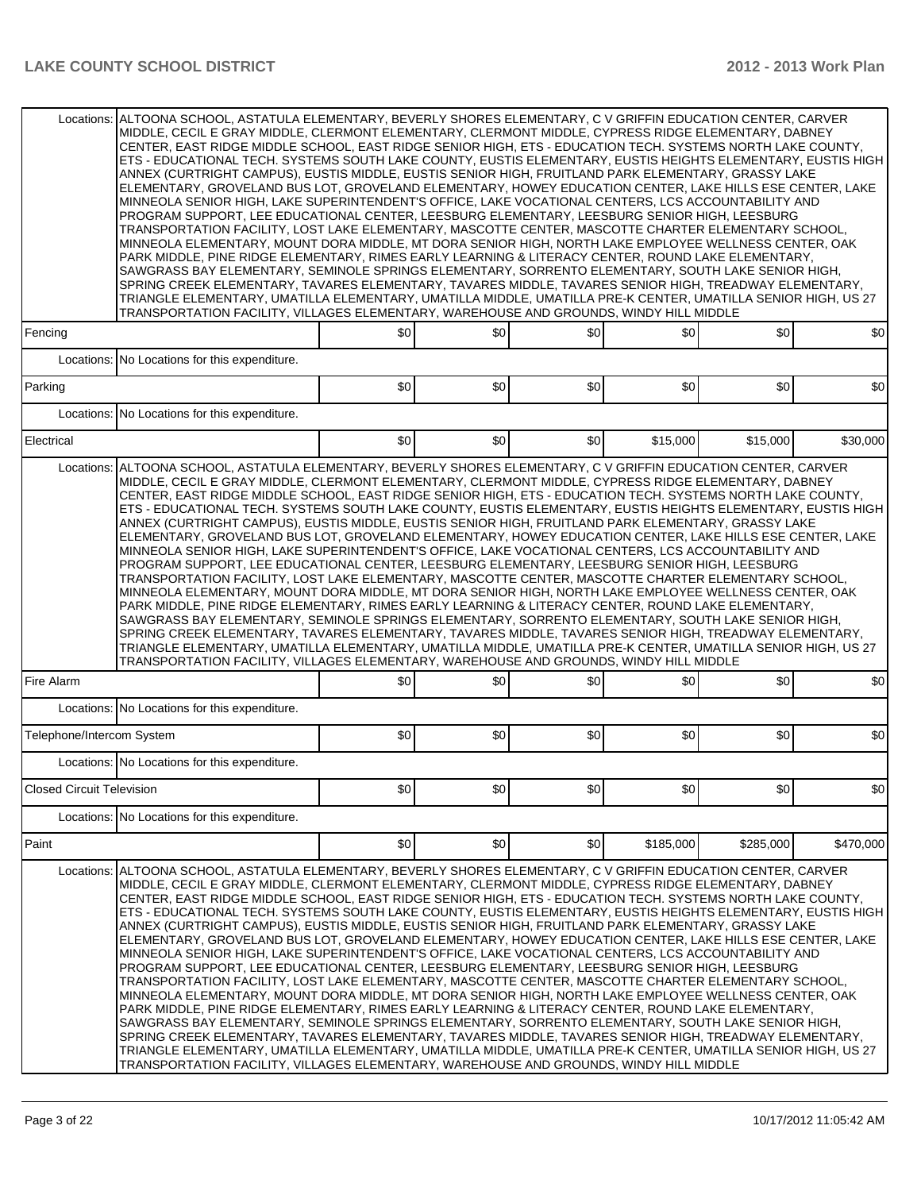|                                  | Locations: ALTOONA SCHOOL. ASTATULA ELEMENTARY. BEVERLY SHORES ELEMENTARY. C V GRIFFIN EDUCATION CENTER. CARVER<br>MIDDLE, CECIL E GRAY MIDDLE, CLERMONT ELEMENTARY, CLERMONT MIDDLE, CYPRESS RIDGE ELEMENTARY, DABNEY<br>CENTER, EAST RIDGE MIDDLE SCHOOL, EAST RIDGE SENIOR HIGH, ETS - EDUCATION TECH. SYSTEMS NORTH LAKE COUNTY,<br>ETS - EDUCATIONAL TECH. SYSTEMS SOUTH LAKE COUNTY, EUSTIS ELEMENTARY, EUSTIS HEIGHTS ELEMENTARY, EUSTIS HIGH<br>ANNEX (CURTRIGHT CAMPUS), EUSTIS MIDDLE, EUSTIS SENIOR HIGH, FRUITLAND PARK ELEMENTARY, GRASSY LAKE<br>ELEMENTARY, GROVELAND BUS LOT, GROVELAND ELEMENTARY, HOWEY EDUCATION CENTER, LAKE HILLS ESE CENTER, LAKE<br>MINNEOLA SENIOR HIGH, LAKE SUPERINTENDENT'S OFFICE, LAKE VOCATIONAL CENTERS, LCS ACCOUNTABILITY AND<br>PROGRAM SUPPORT, LEE EDUCATIONAL CENTER, LEESBURG ELEMENTARY, LEESBURG SENIOR HIGH, LEESBURG<br>TRANSPORTATION FACILITY, LOST LAKE ELEMENTARY, MASCOTTE CENTER, MASCOTTE CHARTER ELEMENTARY SCHOOL,<br>MINNEOLA ELEMENTARY, MOUNT DORA MIDDLE, MT DORA SENIOR HIGH, NORTH LAKE EMPLOYEE WELLNESS CENTER, OAK<br>PARK MIDDLE, PINE RIDGE ELEMENTARY, RIMES EARLY LEARNING & LITERACY CENTER, ROUND LAKE ELEMENTARY,<br>SAWGRASS BAY ELEMENTARY, SEMINOLE SPRINGS ELEMENTARY, SORRENTO ELEMENTARY, SOUTH LAKE SENIOR HIGH,<br>SPRING CREEK ELEMENTARY, TAVARES ELEMENTARY, TAVARES MIDDLE, TAVARES SENIOR HIGH, TREADWAY ELEMENTARY,<br>TRIANGLE ELEMENTARY, UMATILLA ELEMENTARY, UMATILLA MIDDLE, UMATILLA PRE-K CENTER, UMATILLA SENIOR HIGH, US 27<br>TRANSPORTATION FACILITY, VILLAGES ELEMENTARY, WAREHOUSE AND GROUNDS, WINDY HILL MIDDLE |     |     |     |           |           |           |
|----------------------------------|---------------------------------------------------------------------------------------------------------------------------------------------------------------------------------------------------------------------------------------------------------------------------------------------------------------------------------------------------------------------------------------------------------------------------------------------------------------------------------------------------------------------------------------------------------------------------------------------------------------------------------------------------------------------------------------------------------------------------------------------------------------------------------------------------------------------------------------------------------------------------------------------------------------------------------------------------------------------------------------------------------------------------------------------------------------------------------------------------------------------------------------------------------------------------------------------------------------------------------------------------------------------------------------------------------------------------------------------------------------------------------------------------------------------------------------------------------------------------------------------------------------------------------------------------------------------------------------------------------------------------------|-----|-----|-----|-----------|-----------|-----------|
| Fencing                          |                                                                                                                                                                                                                                                                                                                                                                                                                                                                                                                                                                                                                                                                                                                                                                                                                                                                                                                                                                                                                                                                                                                                                                                                                                                                                                                                                                                                                                                                                                                                                                                                                                 | \$0 | \$0 | \$0 | \$0       | \$0       | \$0       |
| Locations:                       | No Locations for this expenditure.                                                                                                                                                                                                                                                                                                                                                                                                                                                                                                                                                                                                                                                                                                                                                                                                                                                                                                                                                                                                                                                                                                                                                                                                                                                                                                                                                                                                                                                                                                                                                                                              |     |     |     |           |           |           |
| Parking                          |                                                                                                                                                                                                                                                                                                                                                                                                                                                                                                                                                                                                                                                                                                                                                                                                                                                                                                                                                                                                                                                                                                                                                                                                                                                                                                                                                                                                                                                                                                                                                                                                                                 | \$0 | \$0 | \$0 | \$0       | \$0       | \$0       |
| Locations:                       | No Locations for this expenditure.                                                                                                                                                                                                                                                                                                                                                                                                                                                                                                                                                                                                                                                                                                                                                                                                                                                                                                                                                                                                                                                                                                                                                                                                                                                                                                                                                                                                                                                                                                                                                                                              |     |     |     |           |           |           |
| Electrical                       |                                                                                                                                                                                                                                                                                                                                                                                                                                                                                                                                                                                                                                                                                                                                                                                                                                                                                                                                                                                                                                                                                                                                                                                                                                                                                                                                                                                                                                                                                                                                                                                                                                 | \$0 | \$0 | \$0 | \$15,000  | \$15,000  | \$30,000  |
| Locations:                       | ALTOONA SCHOOL, ASTATULA ELEMENTARY, BEVERLY SHORES ELEMENTARY, C V GRIFFIN EDUCATION CENTER, CARVER<br>MIDDLE, CECIL E GRAY MIDDLE, CLERMONT ELEMENTARY, CLERMONT MIDDLE, CYPRESS RIDGE ELEMENTARY, DABNEY<br>CENTER, EAST RIDGE MIDDLE SCHOOL, EAST RIDGE SENIOR HIGH, ETS - EDUCATION TECH. SYSTEMS NORTH LAKE COUNTY,<br>ETS - EDUCATIONAL TECH. SYSTEMS SOUTH LAKE COUNTY, EUSTIS ELEMENTARY, EUSTIS HEIGHTS ELEMENTARY, EUSTIS HIGH<br>ANNEX (CURTRIGHT CAMPUS), EUSTIS MIDDLE, EUSTIS SENIOR HIGH, FRUITLAND PARK ELEMENTARY, GRASSY LAKE<br>ELEMENTARY, GROVELAND BUS LOT, GROVELAND ELEMENTARY, HOWEY EDUCATION CENTER, LAKE HILLS ESE CENTER, LAKE<br>MINNEOLA SENIOR HIGH, LAKE SUPERINTENDENT'S OFFICE, LAKE VOCATIONAL CENTERS, LCS ACCOUNTABILITY AND<br>PROGRAM SUPPORT, LEE EDUCATIONAL CENTER, LEESBURG ELEMENTARY, LEESBURG SENIOR HIGH, LEESBURG<br>TRANSPORTATION FACILITY, LOST LAKE ELEMENTARY, MASCOTTE CENTER, MASCOTTE CHARTER ELEMENTARY SCHOOL,<br>MINNEOLA ELEMENTARY, MOUNT DORA MIDDLE, MT DORA SENIOR HIGH, NORTH LAKE EMPLOYEE WELLNESS CENTER, OAK<br>PARK MIDDLE, PINE RIDGE ELEMENTARY, RIMES EARLY LEARNING & LITERACY CENTER, ROUND LAKE ELEMENTARY,<br>SAWGRASS BAY ELEMENTARY, SEMINOLE SPRINGS ELEMENTARY, SORRENTO ELEMENTARY, SOUTH LAKE SENIOR HIGH,<br>SPRING CREEK ELEMENTARY, TAVARES ELEMENTARY, TAVARES MIDDLE, TAVARES SENIOR HIGH, TREADWAY ELEMENTARY,<br>TRIANGLE ELEMENTARY, UMATILLA ELEMENTARY, UMATILLA MIDDLE, UMATILLA PRE-K CENTER, UMATILLA SENIOR HIGH, US 27<br>TRANSPORTATION FACILITY, VILLAGES ELEMENTARY, WAREHOUSE AND GROUNDS, WINDY HILL MIDDLE            |     |     |     |           |           |           |
| Fire Alarm                       |                                                                                                                                                                                                                                                                                                                                                                                                                                                                                                                                                                                                                                                                                                                                                                                                                                                                                                                                                                                                                                                                                                                                                                                                                                                                                                                                                                                                                                                                                                                                                                                                                                 | \$0 | \$0 | \$0 | \$0       | \$0       | \$0       |
|                                  | Locations: No Locations for this expenditure.                                                                                                                                                                                                                                                                                                                                                                                                                                                                                                                                                                                                                                                                                                                                                                                                                                                                                                                                                                                                                                                                                                                                                                                                                                                                                                                                                                                                                                                                                                                                                                                   |     |     |     |           |           |           |
| Telephone/Intercom System        |                                                                                                                                                                                                                                                                                                                                                                                                                                                                                                                                                                                                                                                                                                                                                                                                                                                                                                                                                                                                                                                                                                                                                                                                                                                                                                                                                                                                                                                                                                                                                                                                                                 | \$0 | \$0 | \$0 | \$0       | \$0       | \$0       |
|                                  | Locations: No Locations for this expenditure.                                                                                                                                                                                                                                                                                                                                                                                                                                                                                                                                                                                                                                                                                                                                                                                                                                                                                                                                                                                                                                                                                                                                                                                                                                                                                                                                                                                                                                                                                                                                                                                   |     |     |     |           |           |           |
| <b>Closed Circuit Television</b> |                                                                                                                                                                                                                                                                                                                                                                                                                                                                                                                                                                                                                                                                                                                                                                                                                                                                                                                                                                                                                                                                                                                                                                                                                                                                                                                                                                                                                                                                                                                                                                                                                                 | \$0 | \$0 | \$0 | \$0       | \$0       | \$0       |
|                                  | Locations: No Locations for this expenditure.                                                                                                                                                                                                                                                                                                                                                                                                                                                                                                                                                                                                                                                                                                                                                                                                                                                                                                                                                                                                                                                                                                                                                                                                                                                                                                                                                                                                                                                                                                                                                                                   |     |     |     |           |           |           |
| Paint                            |                                                                                                                                                                                                                                                                                                                                                                                                                                                                                                                                                                                                                                                                                                                                                                                                                                                                                                                                                                                                                                                                                                                                                                                                                                                                                                                                                                                                                                                                                                                                                                                                                                 | \$0 | \$0 | \$0 | \$185,000 | \$285,000 | \$470,000 |
| Locations:                       | ALTOONA SCHOOL, ASTATULA ELEMENTARY, BEVERLY SHORES ELEMENTARY, C V GRIFFIN EDUCATION CENTER, CARVER<br>MIDDLE, CECIL E GRAY MIDDLE, CLERMONT ELEMENTARY, CLERMONT MIDDLE, CYPRESS RIDGE ELEMENTARY, DABNEY<br>CENTER, EAST RIDGE MIDDLE SCHOOL, EAST RIDGE SENIOR HIGH, ETS - EDUCATION TECH. SYSTEMS NORTH LAKE COUNTY,<br>ETS - EDUCATIONAL TECH. SYSTEMS SOUTH LAKE COUNTY, EUSTIS ELEMENTARY, EUSTIS HEIGHTS ELEMENTARY, EUSTIS HIGH<br>ANNEX (CURTRIGHT CAMPUS), EUSTIS MIDDLE, EUSTIS SENIOR HIGH, FRUITLAND PARK ELEMENTARY, GRASSY LAKE<br>ELEMENTARY, GROVELAND BUS LOT, GROVELAND ELEMENTARY, HOWEY EDUCATION CENTER, LAKE HILLS ESE CENTER, LAKE<br>MINNEOLA SENIOR HIGH, LAKE SUPERINTENDENT'S OFFICE, LAKE VOCATIONAL CENTERS, LCS ACCOUNTABILITY AND<br>PROGRAM SUPPORT, LEE EDUCATIONAL CENTER, LEESBURG ELEMENTARY, LEESBURG SENIOR HIGH, LEESBURG<br>TRANSPORTATION FACILITY, LOST LAKE ELEMENTARY, MASCOTTE CENTER, MASCOTTE CHARTER ELEMENTARY SCHOOL,<br>MINNEOLA ELEMENTARY, MOUNT DORA MIDDLE, MT DORA SENIOR HIGH, NORTH LAKE EMPLOYEE WELLNESS CENTER, OAK<br>PARK MIDDLE, PINE RIDGE ELEMENTARY, RIMES EARLY LEARNING & LITERACY CENTER, ROUND LAKE ELEMENTARY,<br>SAWGRASS BAY ELEMENTARY, SEMINOLE SPRINGS ELEMENTARY, SORRENTO ELEMENTARY, SOUTH LAKE SENIOR HIGH,<br>SPRING CREEK ELEMENTARY, TAVARES ELEMENTARY, TAVARES MIDDLE, TAVARES SENIOR HIGH, TREADWAY ELEMENTARY,<br>TRIANGLE ELEMENTARY, UMATILLA ELEMENTARY, UMATILLA MIDDLE, UMATILLA PRE-K CENTER, UMATILLA SENIOR HIGH, US 27<br>TRANSPORTATION FACILITY, VILLAGES ELEMENTARY, WAREHOUSE AND GROUNDS, WINDY HILL MIDDLE            |     |     |     |           |           |           |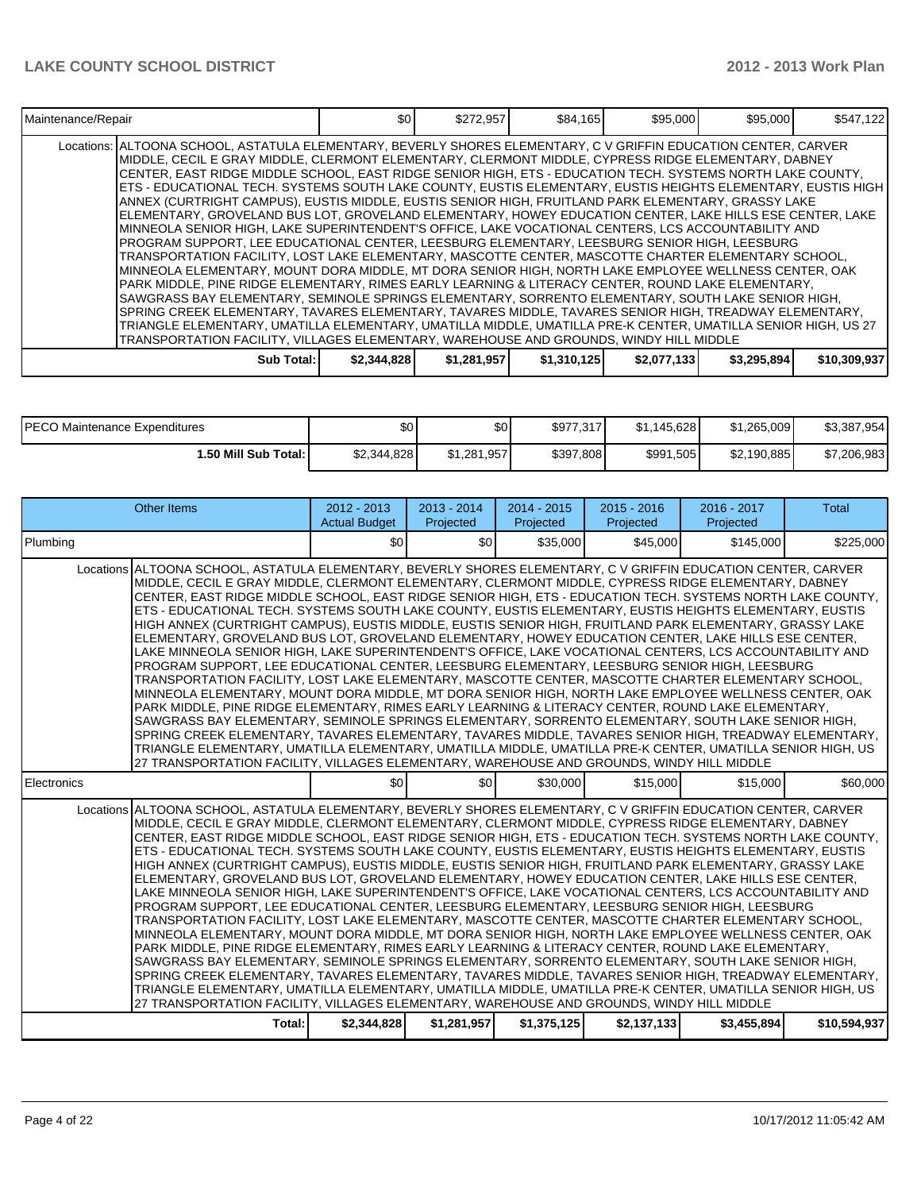| Maintenance/Repair                                                                                                                                                                                                                                                                                                                                                                                                                                                                                                                                                                                                                                                                                                                                                                                                                                                                                                                                                                                                                                                                                                                                                                                                                                                                                                                                                                                                                                                                                                                                                                                                                   | \$0         | \$272,957   | \$84,165    | \$95,000    | \$95,000    | \$547,122    |
|--------------------------------------------------------------------------------------------------------------------------------------------------------------------------------------------------------------------------------------------------------------------------------------------------------------------------------------------------------------------------------------------------------------------------------------------------------------------------------------------------------------------------------------------------------------------------------------------------------------------------------------------------------------------------------------------------------------------------------------------------------------------------------------------------------------------------------------------------------------------------------------------------------------------------------------------------------------------------------------------------------------------------------------------------------------------------------------------------------------------------------------------------------------------------------------------------------------------------------------------------------------------------------------------------------------------------------------------------------------------------------------------------------------------------------------------------------------------------------------------------------------------------------------------------------------------------------------------------------------------------------------|-------------|-------------|-------------|-------------|-------------|--------------|
| Locations: ALTOONA SCHOOL, ASTATULA ELEMENTARY, BEVERLY SHORES ELEMENTARY, C V GRIFFIN EDUCATION CENTER, CARVER<br>IMIDDLE, CECIL E GRAY MIDDLE, CLERMONT ELEMENTARY, CLERMONT MIDDLE, CYPRESS RIDGE ELEMENTARY, DABNEY<br>ICENTER, EAST RIDGE MIDDLE SCHOOL, EAST RIDGE SENIOR HIGH, ETS - EDUCATION TECH. SYSTEMS NORTH LAKE COUNTY,<br> ETS - EDUCATIONAL TECH. SYSTEMS SOUTH LAKE COUNTY, EUSTIS ELEMENTARY, EUSTIS HEIGHTS ELEMENTARY, EUSTIS HIGH  <br>ANNEX (CURTRIGHT CAMPUS), EUSTIS MIDDLE, EUSTIS SENIOR HIGH, FRUITLAND PARK ELEMENTARY, GRASSY LAKE<br>ELEMENTARY, GROVELAND BUS LOT, GROVELAND ELEMENTARY, HOWEY EDUCATION CENTER, LAKE HILLS ESE CENTER, LAKE<br>MINNEOLA SENIOR HIGH, LAKE SUPERINTENDENT'S OFFICE, LAKE VOCATIONAL CENTERS, LCS ACCOUNTABILITY AND<br>PROGRAM SUPPORT, LEE EDUCATIONAL CENTER, LEESBURG ELEMENTARY, LEESBURG SENIOR HIGH, LEESBURG<br>TRANSPORTATION FACILITY, LOST LAKE ELEMENTARY, MASCOTTE CENTER, MASCOTTE CHARTER ELEMENTARY SCHOOL,<br>MINNEOLA ELEMENTARY, MOUNT DORA MIDDLE, MT DORA SENIOR HIGH, NORTH LAKE EMPLOYEE WELLNESS CENTER, OAK<br>PARK MIDDLE, PINE RIDGE ELEMENTARY, RIMES EARLY LEARNING & LITERACY CENTER, ROUND LAKE ELEMENTARY,<br>SAWGRASS BAY ELEMENTARY, SEMINOLE SPRINGS ELEMENTARY, SORRENTO ELEMENTARY, SOUTH LAKE SENIOR HIGH,<br>SPRING CREEK ELEMENTARY, TAVARES ELEMENTARY, TAVARES MIDDLE, TAVARES SENIOR HIGH, TREADWAY ELEMENTARY,<br>TRIANGLE ELEMENTARY, UMATILLA ELEMENTARY, UMATILLA MIDDLE, UMATILLA PRE-K CENTER, UMATILLA SENIOR HIGH, US 27<br>TRANSPORTATION FACILITY, VILLAGES ELEMENTARY, WAREHOUSE AND GROUNDS, WINDY HILL MIDDLE |             |             |             |             |             |              |
| Sub Total: I                                                                                                                                                                                                                                                                                                                                                                                                                                                                                                                                                                                                                                                                                                                                                                                                                                                                                                                                                                                                                                                                                                                                                                                                                                                                                                                                                                                                                                                                                                                                                                                                                         | \$2,344,828 | \$1,281,957 | \$1,310,125 | \$2,077,133 | \$3,295,894 | \$10,309,937 |

| <b>IPECO Maintenance Expenditures</b> | ሶሳ<br>JU'   | ሶሳ<br>ΦU    | \$977.317 | \$1.145.628 | \$1.265.009 | \$3,387,954 |
|---------------------------------------|-------------|-------------|-----------|-------------|-------------|-------------|
| 1.50 Mill Sub Total: I                | \$2,344,828 | \$1.281.957 | \$397,808 | \$991,505   | \$2,190,885 | \$7,206,983 |

| <b>Other Items</b>                                                                                                                                                                                                                                                                                                                                                                                                                                                                                                                                                                                                                                                                                                                                                                                                                                                                                                                                                                                                                                                                                                                                                                                                                                                                                                                                                                                                                                                                                                                                                                                                             | $2012 - 2013$<br><b>Actual Budget</b> | $2013 - 2014$<br>Projected | $2014 - 2015$<br>Projected | $2015 - 2016$<br>Projected | 2016 - 2017<br>Projected | <b>Total</b> |
|--------------------------------------------------------------------------------------------------------------------------------------------------------------------------------------------------------------------------------------------------------------------------------------------------------------------------------------------------------------------------------------------------------------------------------------------------------------------------------------------------------------------------------------------------------------------------------------------------------------------------------------------------------------------------------------------------------------------------------------------------------------------------------------------------------------------------------------------------------------------------------------------------------------------------------------------------------------------------------------------------------------------------------------------------------------------------------------------------------------------------------------------------------------------------------------------------------------------------------------------------------------------------------------------------------------------------------------------------------------------------------------------------------------------------------------------------------------------------------------------------------------------------------------------------------------------------------------------------------------------------------|---------------------------------------|----------------------------|----------------------------|----------------------------|--------------------------|--------------|
| Plumbing                                                                                                                                                                                                                                                                                                                                                                                                                                                                                                                                                                                                                                                                                                                                                                                                                                                                                                                                                                                                                                                                                                                                                                                                                                                                                                                                                                                                                                                                                                                                                                                                                       | \$0                                   | \$0                        | \$35,000                   | \$45,000                   | \$145.000                | \$225,000    |
| Locations ALTOONA SCHOOL, ASTATULA ELEMENTARY, BEVERLY SHORES ELEMENTARY, C V GRIFFIN EDUCATION CENTER, CARVER<br>MIDDLE, CECIL E GRAY MIDDLE, CLERMONT ELEMENTARY, CLERMONT MIDDLE, CYPRESS RIDGE ELEMENTARY, DABNEY<br>CENTER, EAST RIDGE MIDDLE SCHOOL, EAST RIDGE SENIOR HIGH, ETS - EDUCATION TECH. SYSTEMS NORTH LAKE COUNTY,<br>ETS - EDUCATIONAL TECH. SYSTEMS SOUTH LAKE COUNTY, EUSTIS ELEMENTARY, EUSTIS HEIGHTS ELEMENTARY, EUSTIS<br>HIGH ANNEX (CURTRIGHT CAMPUS), EUSTIS MIDDLE, EUSTIS SENIOR HIGH, FRUITLAND PARK ELEMENTARY, GRASSY LAKE<br>ELEMENTARY, GROVELAND BUS LOT, GROVELAND ELEMENTARY, HOWEY EDUCATION CENTER, LAKE HILLS ESE CENTER,<br>LAKE MINNEOLA SENIOR HIGH, LAKE SUPERINTENDENT'S OFFICE, LAKE VOCATIONAL CENTERS, LCS ACCOUNTABILITY AND<br>PROGRAM SUPPORT. LEE EDUCATIONAL CENTER. LEESBURG ELEMENTARY. LEESBURG SENIOR HIGH. LEESBURG<br>TRANSPORTATION FACILITY, LOST LAKE ELEMENTARY, MASCOTTE CENTER, MASCOTTE CHARTER ELEMENTARY SCHOOL,<br>MINNEOLA ELEMENTARY, MOUNT DORA MIDDLE, MT DORA SENIOR HIGH, NORTH LAKE EMPLOYEE WELLNESS CENTER, OAK<br>PARK MIDDLE, PINE RIDGE ELEMENTARY, RIMES EARLY LEARNING & LITERACY CENTER, ROUND LAKE ELEMENTARY,<br>SAWGRASS BAY ELEMENTARY, SEMINOLE SPRINGS ELEMENTARY, SORRENTO ELEMENTARY, SOUTH LAKE SENIOR HIGH,<br>SPRING CREEK ELEMENTARY, TAVARES ELEMENTARY, TAVARES MIDDLE, TAVARES SENIOR HIGH, TREADWAY ELEMENTARY,<br>TRIANGLE ELEMENTARY, UMATILLA ELEMENTARY, UMATILLA MIDDLE, UMATILLA PRE-K CENTER, UMATILLA SENIOR HIGH, US<br>27 TRANSPORTATION FACILITY, VILLAGES ELEMENTARY, WAREHOUSE AND GROUNDS, WINDY HILL MIDDLE |                                       |                            |                            |                            |                          |              |
| Electronics                                                                                                                                                                                                                                                                                                                                                                                                                                                                                                                                                                                                                                                                                                                                                                                                                                                                                                                                                                                                                                                                                                                                                                                                                                                                                                                                                                                                                                                                                                                                                                                                                    | \$0                                   | \$0 <sub>l</sub>           | \$30,000                   | \$15,000                   | \$15,000                 | \$60,000     |
| Locations ALTOONA SCHOOL, ASTATULA ELEMENTARY, BEVERLY SHORES ELEMENTARY, C V GRIFFIN EDUCATION CENTER, CARVER<br>MIDDLE, CECIL E GRAY MIDDLE, CLERMONT ELEMENTARY, CLERMONT MIDDLE, CYPRESS RIDGE ELEMENTARY, DABNEY<br>CENTER, EAST RIDGE MIDDLE SCHOOL, EAST RIDGE SENIOR HIGH, ETS - EDUCATION TECH. SYSTEMS NORTH LAKE COUNTY,<br>ETS - EDUCATIONAL TECH. SYSTEMS SOUTH LAKE COUNTY, EUSTIS ELEMENTARY, EUSTIS HEIGHTS ELEMENTARY, EUSTIS<br>HIGH ANNEX (CURTRIGHT CAMPUS), EUSTIS MIDDLE, EUSTIS SENIOR HIGH, FRUITLAND PARK ELEMENTARY, GRASSY LAKE<br>ELEMENTARY, GROVELAND BUS LOT, GROVELAND ELEMENTARY, HOWEY EDUCATION CENTER, LAKE HILLS ESE CENTER,<br>LAKE MINNEOLA SENIOR HIGH, LAKE SUPERINTENDENT'S OFFICE, LAKE VOCATIONAL CENTERS, LCS ACCOUNTABILITY AND<br>PROGRAM SUPPORT, LEE EDUCATIONAL CENTER, LEESBURG ELEMENTARY, LEESBURG SENIOR HIGH, LEESBURG<br>TRANSPORTATION FACILITY, LOST LAKE ELEMENTARY, MASCOTTE CENTER, MASCOTTE CHARTER ELEMENTARY SCHOOL,<br>MINNEOLA ELEMENTARY, MOUNT DORA MIDDLE, MT DORA SENIOR HIGH, NORTH LAKE EMPLOYEE WELLNESS CENTER, OAK<br>PARK MIDDLE, PINE RIDGE ELEMENTARY, RIMES EARLY LEARNING & LITERACY CENTER, ROUND LAKE ELEMENTARY,<br>SAWGRASS BAY ELEMENTARY, SEMINOLE SPRINGS ELEMENTARY, SORRENTO ELEMENTARY, SOUTH LAKE SENIOR HIGH,<br>SPRING CREEK ELEMENTARY, TAVARES ELEMENTARY, TAVARES MIDDLE, TAVARES SENIOR HIGH, TREADWAY ELEMENTARY,<br>TRIANGLE ELEMENTARY, UMATILLA ELEMENTARY, UMATILLA MIDDLE, UMATILLA PRE-K CENTER, UMATILLA SENIOR HIGH, US<br>27 TRANSPORTATION FACILITY, VILLAGES ELEMENTARY, WAREHOUSE AND GROUNDS, WINDY HILL MIDDLE |                                       |                            |                            |                            |                          |              |
| Total:                                                                                                                                                                                                                                                                                                                                                                                                                                                                                                                                                                                                                                                                                                                                                                                                                                                                                                                                                                                                                                                                                                                                                                                                                                                                                                                                                                                                                                                                                                                                                                                                                         | \$2,344,828                           | \$1,281,957                | \$1,375,125                | \$2,137,133                | \$3,455,894              | \$10,594,937 |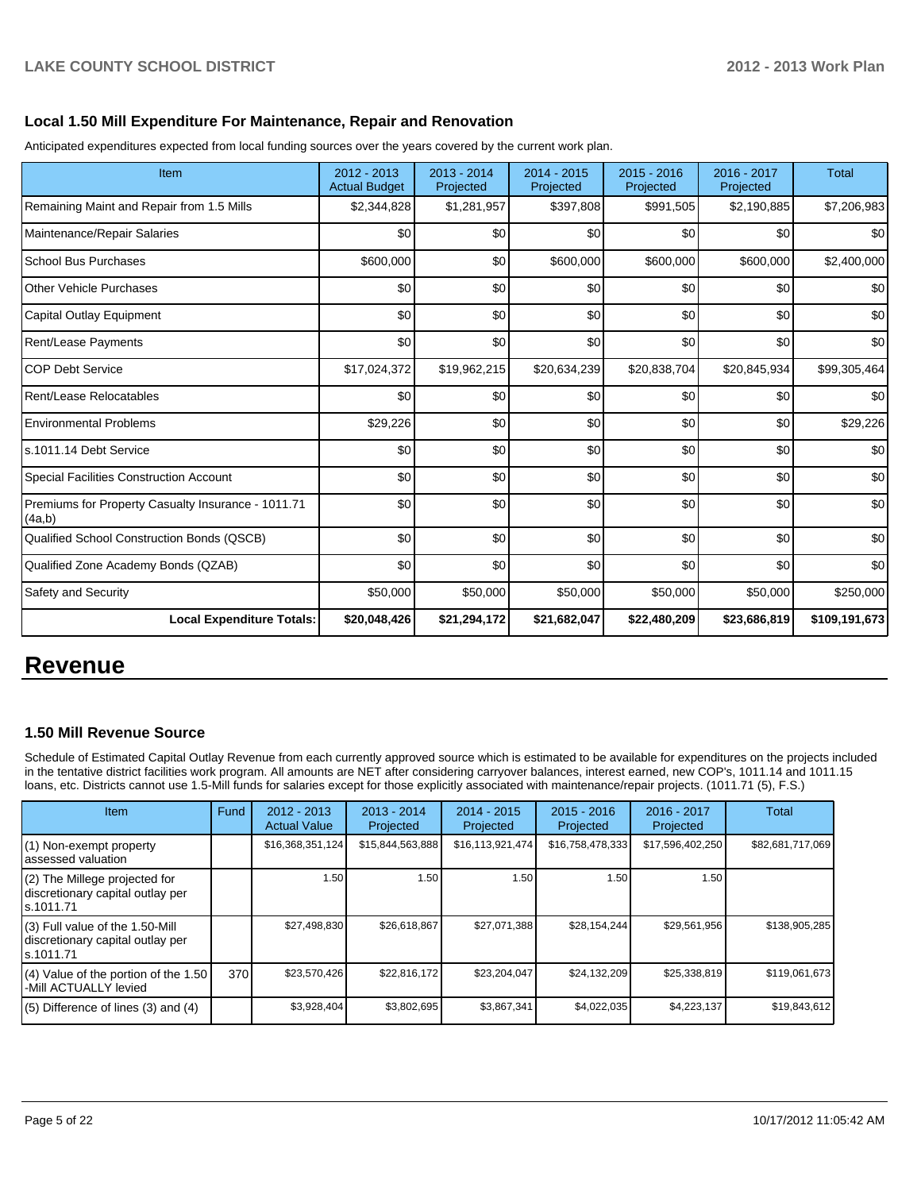#### **Local 1.50 Mill Expenditure For Maintenance, Repair and Renovation**

Anticipated expenditures expected from local funding sources over the years covered by the current work plan.

| Item                                                         | 2012 - 2013<br><b>Actual Budget</b> | $2013 - 2014$<br>Projected | 2014 - 2015<br>Projected | $2015 - 2016$<br>Projected | 2016 - 2017<br>Projected | <b>Total</b>  |
|--------------------------------------------------------------|-------------------------------------|----------------------------|--------------------------|----------------------------|--------------------------|---------------|
| Remaining Maint and Repair from 1.5 Mills                    | \$2,344,828                         | \$1,281,957                | \$397,808                | \$991,505                  | \$2,190,885              | \$7,206,983   |
| Maintenance/Repair Salaries                                  | \$0                                 | \$0                        | \$0                      | \$0                        | \$0                      | \$0           |
| School Bus Purchases                                         | \$600,000                           | \$0                        | \$600,000                | \$600,000                  | \$600,000                | \$2,400,000   |
| Other Vehicle Purchases                                      | \$0                                 | \$0                        | \$0                      | \$0                        | \$0                      | \$0           |
| Capital Outlay Equipment                                     | \$0                                 | \$0                        | \$0                      | \$0                        | \$0                      | \$0           |
| <b>Rent/Lease Payments</b>                                   | \$0                                 | \$0                        | \$0                      | \$0                        | \$0                      | \$0           |
| <b>COP Debt Service</b>                                      | \$17,024,372                        | \$19,962,215               | \$20,634,239             | \$20,838,704               | \$20,845,934             | \$99,305,464  |
| Rent/Lease Relocatables                                      | \$0                                 | \$0                        | \$0                      | \$0                        | \$0                      | \$0           |
| <b>Environmental Problems</b>                                | \$29,226                            | \$0                        | \$0                      | \$0                        | \$0                      | \$29,226      |
| s.1011.14 Debt Service                                       | \$0                                 | \$0                        | \$0                      | \$0                        | \$0                      | \$0           |
| Special Facilities Construction Account                      | \$0                                 | \$0                        | \$0                      | \$0                        | \$0                      | \$0           |
| Premiums for Property Casualty Insurance - 1011.71<br>(4a,b) | \$0                                 | \$0                        | \$0                      | \$0                        | \$0                      | \$0           |
| Qualified School Construction Bonds (QSCB)                   | $\Omega$                            | \$0                        | \$0                      | \$0                        | \$0                      | \$0           |
| Qualified Zone Academy Bonds (QZAB)                          | \$0                                 | \$0                        | \$0                      | \$0                        | \$0                      | \$0           |
| Safety and Security                                          | \$50,000                            | \$50,000                   | \$50,000                 | \$50,000                   | \$50,000                 | \$250,000     |
| <b>Local Expenditure Totals:</b>                             | \$20,048,426                        | \$21,294,172               | \$21,682,047             | \$22,480,209               | \$23,686,819             | \$109,191,673 |

## **Revenue**

#### **1.50 Mill Revenue Source**

Schedule of Estimated Capital Outlay Revenue from each currently approved source which is estimated to be available for expenditures on the projects included in the tentative district facilities work program. All amounts are NET after considering carryover balances, interest earned, new COP's, 1011.14 and 1011.15 loans, etc. Districts cannot use 1.5-Mill funds for salaries except for those explicitly associated with maintenance/repair projects. (1011.71 (5), F.S.)

| <b>Item</b>                                                                       | Fund | 2012 - 2013<br><b>Actual Value</b> | $2013 - 2014$<br>Projected | $2014 - 2015$<br>Projected | $2015 - 2016$<br>Projected | 2016 - 2017<br>Projected | Total            |
|-----------------------------------------------------------------------------------|------|------------------------------------|----------------------------|----------------------------|----------------------------|--------------------------|------------------|
| (1) Non-exempt property<br>lassessed valuation                                    |      | \$16,368,351,124                   | \$15,844,563,888           | \$16, 113, 921, 474        | \$16,758,478,333           | \$17,596,402,250         | \$82,681,717,069 |
| (2) The Millege projected for<br>discretionary capital outlay per<br>ls.1011.71   |      | 1.50                               | 1.50                       | 1.50                       | 1.50                       | 1.50                     |                  |
| (3) Full value of the 1.50-Mill<br>discretionary capital outlay per<br>ls.1011.71 |      | \$27,498,830                       | \$26,618,867               | \$27,071,388               | \$28,154,244               | \$29.561.956             | \$138,905,285    |
| (4) Value of the portion of the 1.50<br>-Mill ACTUALLY levied                     | 370  | \$23,570,426                       | \$22.816.172               | \$23,204,047               | \$24,132,209               | \$25,338,819             | \$119,061,673    |
| $(5)$ Difference of lines $(3)$ and $(4)$                                         |      | \$3,928,404                        | \$3,802,695                | \$3,867,341                | \$4,022,035                | \$4,223,137              | \$19,843,612     |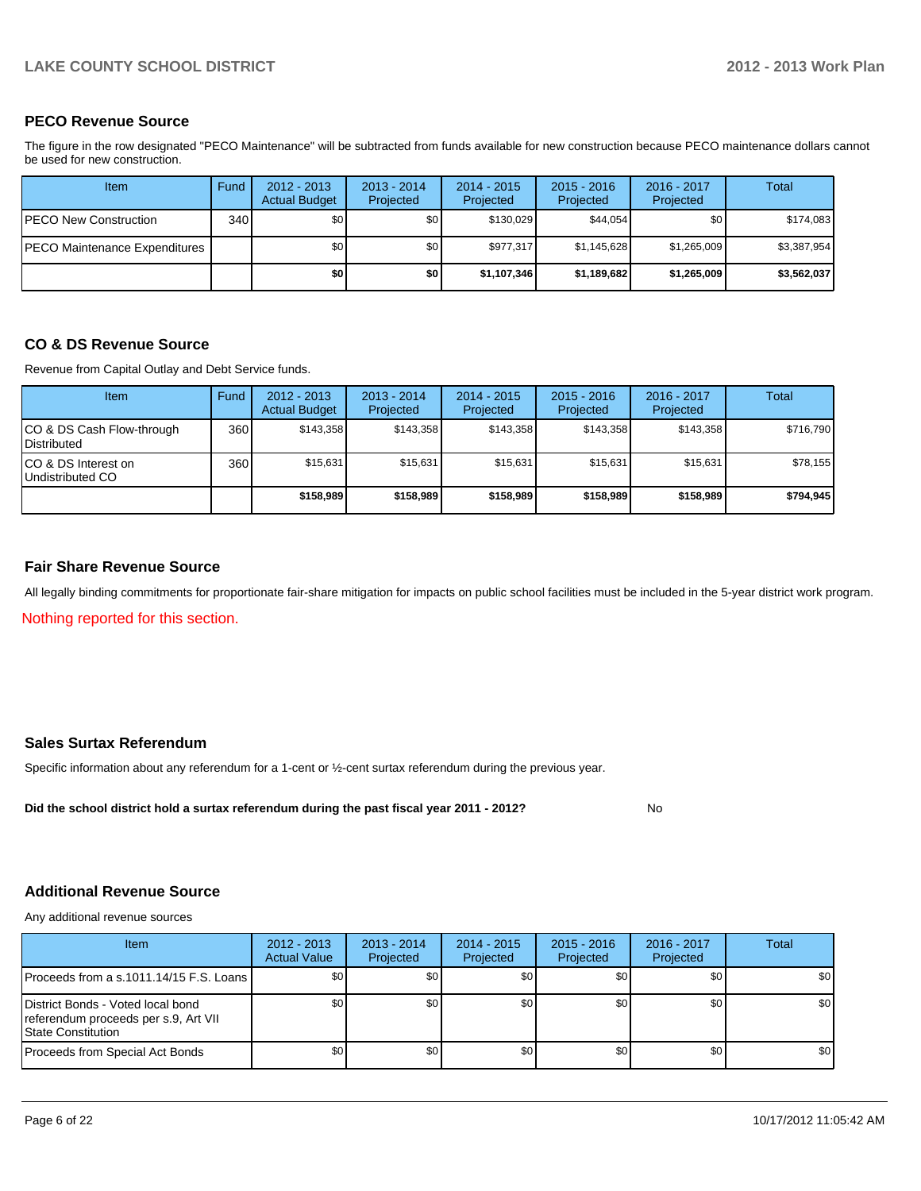#### **PECO Revenue Source**

The figure in the row designated "PECO Maintenance" will be subtracted from funds available for new construction because PECO maintenance dollars cannot be used for new construction.

| <b>Item</b>                           | Fund | $2012 - 2013$<br><b>Actual Budget</b> | $2013 - 2014$<br>Projected | $2014 - 2015$<br>Projected | $2015 - 2016$<br>Projected | $2016 - 2017$<br>Projected | Total       |
|---------------------------------------|------|---------------------------------------|----------------------------|----------------------------|----------------------------|----------------------------|-------------|
| <b>PECO New Construction</b>          | 340  | \$O I                                 | \$0                        | \$130.029                  | \$44,054                   | \$0                        | \$174,083   |
| <b>IPECO Maintenance Expenditures</b> |      | \$O I                                 | \$0 <sub>1</sub>           | \$977.317                  | \$1.145.628                | \$1,265,009                | \$3,387,954 |
|                                       |      | \$0                                   | \$0                        | \$1,107,346                | \$1,189,682                | \$1,265,009                | \$3,562,037 |

#### **CO & DS Revenue Source**

Revenue from Capital Outlay and Debt Service funds.

| Item                                             | Fund | $2012 - 2013$<br><b>Actual Budget</b> | $2013 - 2014$<br>Projected | $2014 - 2015$<br>Projected | $2015 - 2016$<br>Projected | $2016 - 2017$<br>Projected | Total     |
|--------------------------------------------------|------|---------------------------------------|----------------------------|----------------------------|----------------------------|----------------------------|-----------|
| ICO & DS Cash Flow-through<br><b>Distributed</b> | 360  | \$143,358                             | \$143.358                  | \$143.358                  | \$143.358                  | \$143.358                  | \$716,790 |
| CO & DS Interest on<br>Undistributed CO          | 360  | \$15,631                              | \$15,631                   | \$15,631                   | \$15,631                   | \$15,631                   | \$78,155  |
|                                                  |      | \$158,989                             | \$158,989                  | \$158,989                  | \$158,989                  | \$158,989                  | \$794,945 |

#### **Fair Share Revenue Source**

Nothing reported for this section. All legally binding commitments for proportionate fair-share mitigation for impacts on public school facilities must be included in the 5-year district work program.

#### **Sales Surtax Referendum**

Specific information about any referendum for a 1-cent or ½-cent surtax referendum during the previous year.

**Did the school district hold a surtax referendum during the past fiscal year 2011 - 2012?**

#### **Additional Revenue Source**

Any additional revenue sources

| Item                                                                                                    | $2012 - 2013$<br><b>Actual Value</b> | $2013 - 2014$<br>Projected | $2014 - 2015$<br>Projected | $2015 - 2016$<br>Projected | 2016 - 2017<br>Projected | Total            |
|---------------------------------------------------------------------------------------------------------|--------------------------------------|----------------------------|----------------------------|----------------------------|--------------------------|------------------|
| IProceeds from a s.1011.14/15 F.S. Loans I                                                              | \$0 <sub>1</sub>                     | \$0                        | \$0                        | \$0 <sub>0</sub>           | \$0                      | \$0 <sub>1</sub> |
| District Bonds - Voted local bond<br>referendum proceeds per s.9, Art VII<br><b>IState Constitution</b> | \$0 <sub>1</sub>                     | \$0                        | \$0                        | \$0 <sub>0</sub>           | \$0                      | \$0 <sub>1</sub> |
| Proceeds from Special Act Bonds                                                                         | \$0                                  | \$0                        | \$0                        | \$0 <sub>0</sub>           | \$0                      | \$0 <sub>1</sub> |

No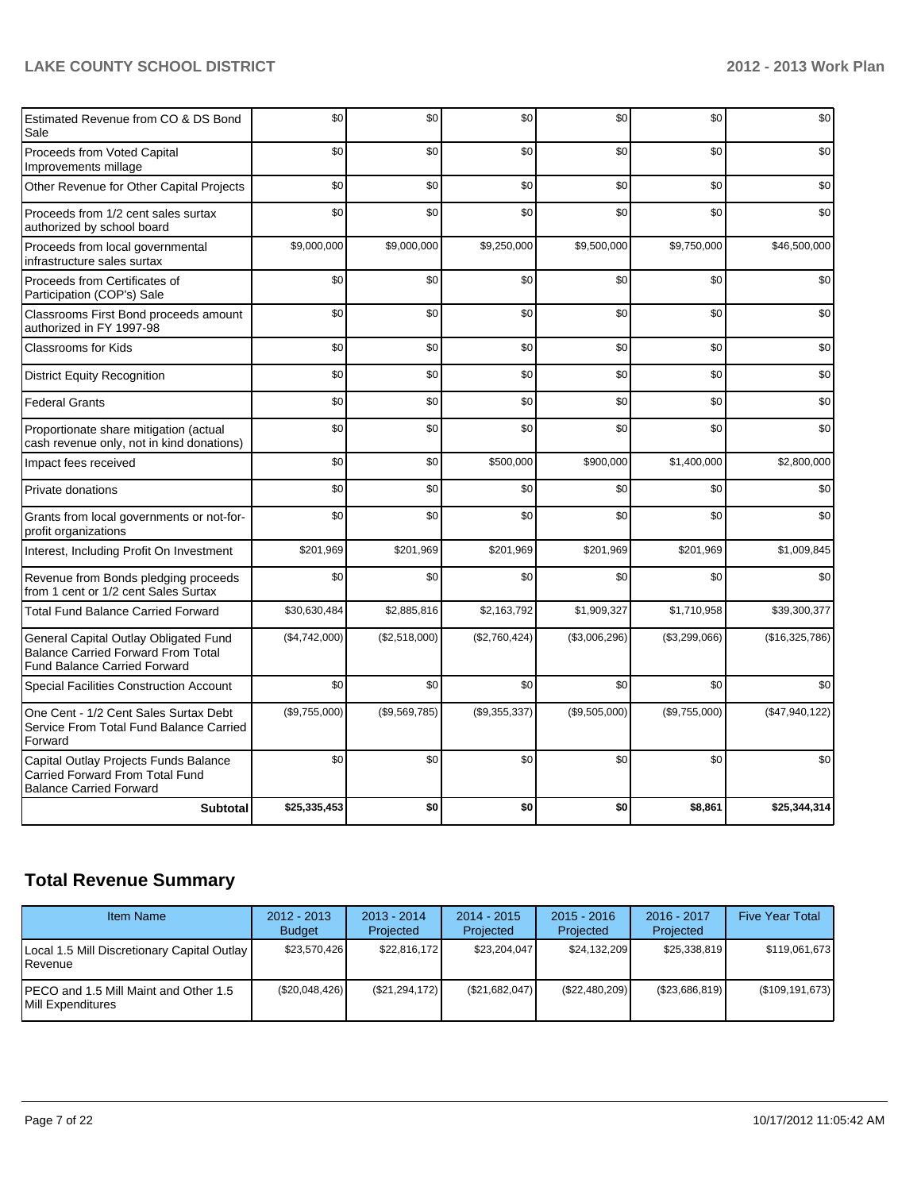| Estimated Revenue from CO & DS Bond<br>Sale                                                                               | \$0           | \$0           | \$0           | \$0           | \$0           | \$0            |
|---------------------------------------------------------------------------------------------------------------------------|---------------|---------------|---------------|---------------|---------------|----------------|
| Proceeds from Voted Capital<br>Improvements millage                                                                       | \$0           | \$0           | \$0           | \$0           | \$0           | \$0            |
| Other Revenue for Other Capital Projects                                                                                  | \$0           | \$0           | \$0           | \$0           | \$0           | \$0            |
| Proceeds from 1/2 cent sales surtax<br>authorized by school board                                                         | \$0           | \$0           | \$0           | \$0           | \$0           | \$0            |
| Proceeds from local governmental<br>infrastructure sales surtax                                                           | \$9,000,000   | \$9,000,000   | \$9,250,000   | \$9,500,000   | \$9,750,000   | \$46,500,000   |
| Proceeds from Certificates of<br>Participation (COP's) Sale                                                               | \$0           | \$0           | \$0           | \$0           | \$0           | \$0            |
| Classrooms First Bond proceeds amount<br>authorized in FY 1997-98                                                         | \$0           | \$0           | \$0           | \$0           | \$0           | \$0            |
| <b>Classrooms for Kids</b>                                                                                                | \$0           | \$0           | \$0           | \$0           | \$0           | \$0            |
| <b>District Equity Recognition</b>                                                                                        | \$0           | \$0           | \$0           | \$0           | \$0           | \$0            |
| <b>Federal Grants</b>                                                                                                     | \$0           | \$0           | \$0           | \$0           | \$0           | \$0            |
| Proportionate share mitigation (actual<br>cash revenue only, not in kind donations)                                       | \$0           | \$0           | \$0           | \$0           | \$0           | \$0            |
| Impact fees received                                                                                                      | \$0           | \$0           | \$500,000     | \$900,000     | \$1,400,000   | \$2,800,000    |
| Private donations                                                                                                         | \$0           | \$0           | \$0           | \$0           | \$0           | \$0            |
| Grants from local governments or not-for-<br>profit organizations                                                         | \$0           | \$0           | \$0           | \$0           | \$0           | \$0            |
| Interest, Including Profit On Investment                                                                                  | \$201,969     | \$201,969     | \$201,969     | \$201,969     | \$201,969     | \$1,009,845    |
| Revenue from Bonds pledging proceeds<br>from 1 cent or 1/2 cent Sales Surtax                                              | \$0           | \$0           | \$0           | \$0           | \$0           | \$0            |
| <b>Total Fund Balance Carried Forward</b>                                                                                 | \$30,630,484  | \$2,885,816   | \$2,163,792   | \$1,909,327   | \$1,710,958   | \$39,300,377   |
| General Capital Outlay Obligated Fund<br><b>Balance Carried Forward From Total</b><br><b>Fund Balance Carried Forward</b> | (\$4,742,000) | (\$2,518,000) | (\$2,760,424) | (\$3,006,296) | (\$3,299,066) | (\$16,325,786) |
| Special Facilities Construction Account                                                                                   | \$0           | \$0           | \$0           | \$0           | \$0           | \$0            |
| One Cent - 1/2 Cent Sales Surtax Debt<br>Service From Total Fund Balance Carried<br>Forward                               | (\$9,755,000) | (\$9,569,785) | (\$9,355,337) | (\$9,505,000) | (\$9,755,000) | (\$47,940,122) |
| Capital Outlay Projects Funds Balance<br>Carried Forward From Total Fund<br><b>Balance Carried Forward</b>                | \$0           | \$0           | \$0           | \$0           | \$0           | \$0            |
| <b>Subtotal</b>                                                                                                           | \$25,335,453  | \$0           | \$0           | \$0           | \$8,861       | \$25,344,314   |

## **Total Revenue Summary**

| <b>Item Name</b>                                                    | $2012 - 2013$<br><b>Budget</b> | $2013 - 2014$<br>Projected | $2014 - 2015$<br>Projected | $2015 - 2016$<br>Projected | $2016 - 2017$<br>Projected | <b>Five Year Total</b> |
|---------------------------------------------------------------------|--------------------------------|----------------------------|----------------------------|----------------------------|----------------------------|------------------------|
| Local 1.5 Mill Discretionary Capital Outlay<br><b>I</b> Revenue     | \$23,570,426                   | \$22,816,172               | \$23,204,047               | \$24,132,209               | \$25,338,819               | \$119,061,673          |
| IPECO and 1.5 Mill Maint and Other 1.5<br><b>IMill Expenditures</b> | (\$20,048,426)                 | (S21, 294, 172)            | (\$21,682,047)             | (\$22,480,209)             | (\$23,686,819)             | (\$109, 191, 673)      |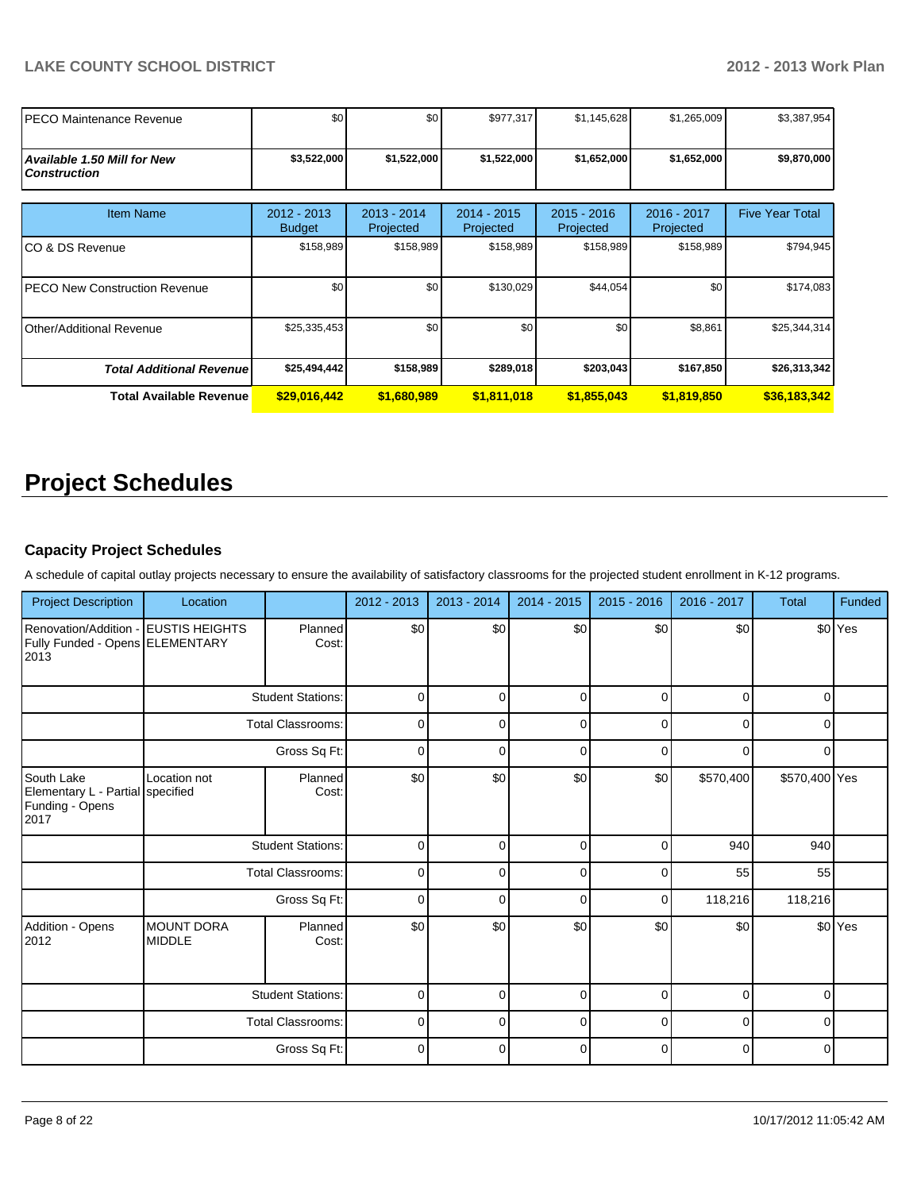| IPECO Maintenance Revenue                                 | \$0                          | \$0                        | \$977,317                  | \$1,145,628                | \$1,265,009              | \$3,387,954            |
|-----------------------------------------------------------|------------------------------|----------------------------|----------------------------|----------------------------|--------------------------|------------------------|
| <b>Available 1.50 Mill for New</b><br><b>Construction</b> | \$3,522,000                  | \$1,522,000                | \$1,522,000                | \$1,652,000                | \$1,652,000              | \$9,870,000            |
| <b>Item Name</b>                                          | 2012 - 2013<br><b>Budget</b> | $2013 - 2014$<br>Projected | $2014 - 2015$<br>Projected | $2015 - 2016$<br>Projected | 2016 - 2017<br>Projected | <b>Five Year Total</b> |
| ICO & DS Revenue                                          | \$158,989                    | \$158,989                  | \$158,989                  | \$158,989                  | \$158,989                | \$794,945              |
| <b>IPECO New Construction Revenue</b>                     | \$0                          | \$0                        | \$130,029                  | \$44,054                   | \$0                      | \$174,083              |
| Other/Additional Revenue                                  | \$25,335,453                 | \$0                        | \$0                        | \$0                        | \$8,861                  | \$25,344,314           |
| <b>Total Additional Revenuel</b>                          | \$25,494,442                 | \$158,989                  | \$289,018                  | \$203,043                  | \$167,850                | \$26,313,342           |
| Total Available Revenue                                   | \$29,016,442                 | \$1,680,989                | \$1,811,018                | \$1,855,043                | \$1,819,850              | \$36,183,342           |

# **Project Schedules**

#### **Capacity Project Schedules**

A schedule of capital outlay projects necessary to ensure the availability of satisfactory classrooms for the projected student enrollment in K-12 programs.

| <b>Project Description</b>                                                      | Location                           |                          | 2012 - 2013 | $2013 - 2014$ | 2014 - 2015 | $2015 - 2016$ | 2016 - 2017 | <b>Total</b>  | <b>Funded</b> |
|---------------------------------------------------------------------------------|------------------------------------|--------------------------|-------------|---------------|-------------|---------------|-------------|---------------|---------------|
| Renovation/Addition - EUSTIS HEIGHTS<br>Fully Funded - Opens ELEMENTARY<br>2013 |                                    | Planned<br>Cost:         | \$0         | \$0           | \$0         | \$0           | \$0         |               | \$0 Yes       |
|                                                                                 |                                    | <b>Student Stations:</b> | $\mathbf 0$ | $\Omega$      | $\mathbf 0$ | $\Omega$      | $\Omega$    | $\Omega$      |               |
|                                                                                 |                                    | <b>Total Classrooms:</b> | $\mathbf 0$ | 0             | $\Omega$    | 0             | $\Omega$    |               |               |
|                                                                                 |                                    | Gross Sq Ft:             | $\mathbf 0$ | 0             | 0           | 0             | O           |               |               |
| South Lake<br>Elementary L - Partial specified<br>Funding - Opens<br>2017       | Location not                       | Planned<br>Cost:         | \$0         | \$0           | \$0         | \$0           | \$570,400   | \$570,400 Yes |               |
|                                                                                 |                                    | <b>Student Stations:</b> | $\mathbf 0$ | $\Omega$      | $\mathbf 0$ | $\Omega$      | 940         | 940           |               |
|                                                                                 |                                    | <b>Total Classrooms:</b> | $\mathbf 0$ | 0             | $\Omega$    | $\Omega$      | 55          | 55            |               |
|                                                                                 |                                    | Gross Sq Ft:             | $\mathbf 0$ | $\Omega$      | $\Omega$    | $\Omega$      | 118,216     | 118,216       |               |
| Addition - Opens<br>2012                                                        | <b>MOUNT DORA</b><br><b>MIDDLE</b> | Planned<br>Cost:         | \$0         | \$0           | \$0         | \$0           | \$0         |               | \$0 Yes       |
|                                                                                 |                                    | <b>Student Stations:</b> | 0           | 0             | 0           | $\Omega$      | $\Omega$    | 0             |               |
|                                                                                 |                                    | <b>Total Classrooms:</b> | $\mathbf 0$ | 0             | $\mathbf 0$ | 0             | $\mathbf 0$ | 0             |               |
|                                                                                 |                                    | Gross Sq Ft:             | $\mathbf 0$ | $\Omega$      | $\mathbf 0$ | $\Omega$      | $\Omega$    | 0             |               |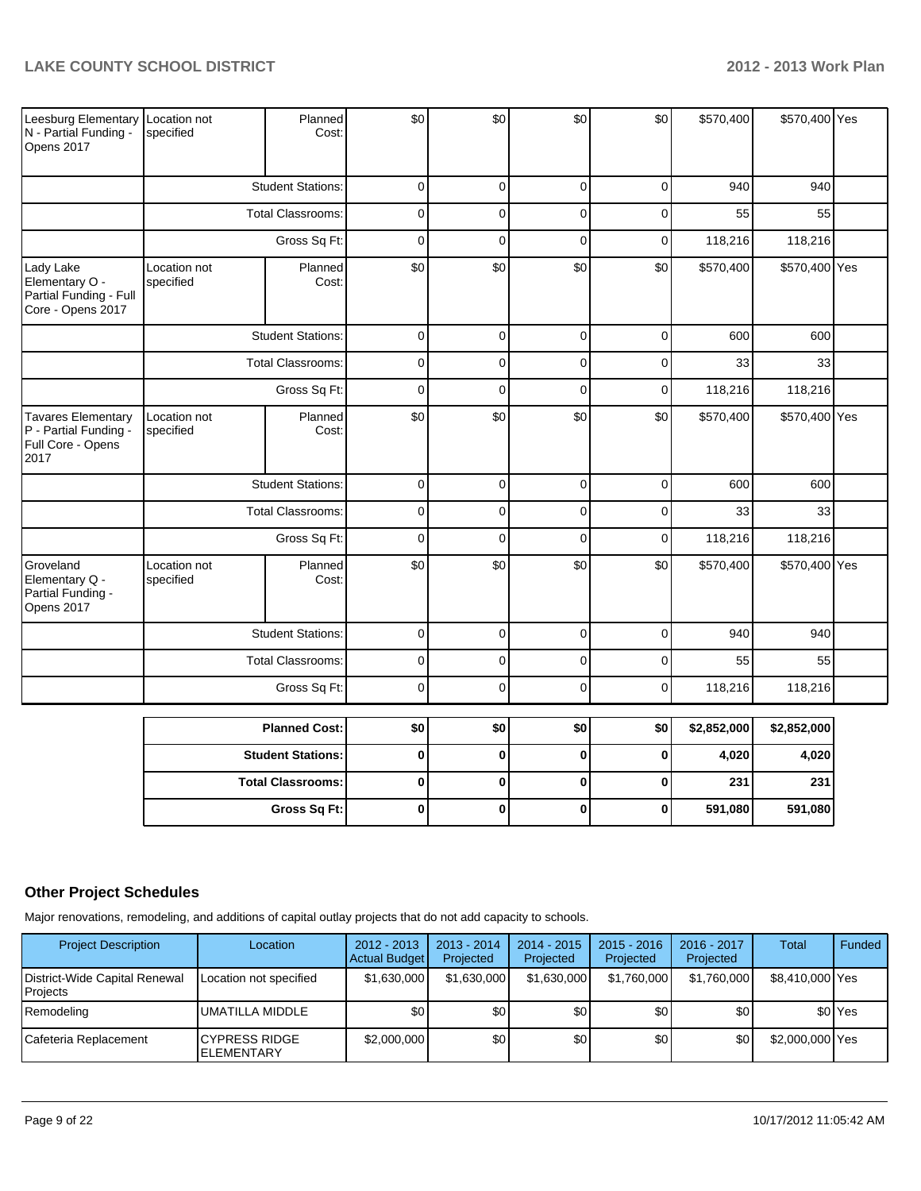| Leesburg Elementary Location not<br>N - Partial Funding -<br>Opens 2017         | specified                 | Planned<br>Cost:         | \$0            | \$0          | \$0            | \$0         | \$570,400   | \$570,400 Yes |  |
|---------------------------------------------------------------------------------|---------------------------|--------------------------|----------------|--------------|----------------|-------------|-------------|---------------|--|
|                                                                                 |                           | <b>Student Stations:</b> | $\overline{0}$ | $\mathbf 0$  | $\mathbf 0$    | $\mathbf 0$ | 940         | 940           |  |
|                                                                                 |                           | <b>Total Classrooms:</b> | $\mathbf 0$    | $\Omega$     | $\overline{0}$ | $\Omega$    | 55          | 55            |  |
|                                                                                 |                           | Gross Sq Ft:             | $\mathbf 0$    | $\mathbf 0$  | $\mathbf 0$    | $\mathbf 0$ | 118,216     | 118,216       |  |
| Lady Lake<br>Elementary O -<br>Partial Funding - Full<br>Core - Opens 2017      | Location not<br>specified | Planned<br>Cost:         | \$0            | \$0          | \$0            | \$0         | \$570,400   | \$570,400 Yes |  |
|                                                                                 |                           | <b>Student Stations:</b> | 0              | $\mathbf 0$  | $\mathbf 0$    | $\mathbf 0$ | 600         | 600           |  |
|                                                                                 |                           | <b>Total Classrooms:</b> | $\overline{0}$ | $\Omega$     | $\mathbf 0$    | $\mathbf 0$ | 33          | 33            |  |
|                                                                                 |                           | Gross Sq Ft:             | $\mathbf 0$    | $\mathbf 0$  | $\overline{0}$ | $\mathbf 0$ | 118,216     | 118,216       |  |
| <b>Tavares Elementary</b><br>P - Partial Funding -<br>Full Core - Opens<br>2017 | Location not<br>specified | Planned<br>Cost:         | \$0            | \$0          | \$0            | \$0         | \$570,400   | \$570,400 Yes |  |
|                                                                                 |                           | <b>Student Stations:</b> | $\mathbf 0$    | $\mathbf 0$  | $\mathbf 0$    | $\mathbf 0$ | 600         | 600           |  |
|                                                                                 | <b>Total Classrooms:</b>  |                          | $\mathbf 0$    | $\mathbf 0$  | $\overline{0}$ | $\Omega$    | 33          | 33            |  |
|                                                                                 |                           | Gross Sq Ft:             | $\mathbf 0$    | $\Omega$     | $\mathbf 0$    | $\mathbf 0$ | 118,216     | 118,216       |  |
| Groveland<br>Elementary Q -<br>Partial Funding -<br>Opens 2017                  | Location not<br>specified | Planned<br>Cost:         | \$0            | \$0          | \$0            | \$0         | \$570,400   | \$570,400 Yes |  |
|                                                                                 |                           | <b>Student Stations:</b> | $\mathbf 0$    | $\mathbf 0$  | $\mathbf 0$    | $\mathbf 0$ | 940         | 940           |  |
|                                                                                 |                           | <b>Total Classrooms:</b> | $\mathbf 0$    | $\mathbf 0$  | $\overline{0}$ | $\mathbf 0$ | 55          | 55            |  |
|                                                                                 |                           | Gross Sq Ft:             | $\mathbf 0$    | $\mathbf 0$  | $\mathbf 0$    | $\mathbf 0$ | 118,216     | 118,216       |  |
|                                                                                 |                           | <b>Planned Cost:</b>     | \$0            | \$0          | \$0            | \$0         | \$2,852,000 | \$2,852,000   |  |
|                                                                                 |                           | <b>Student Stations:</b> | $\pmb{0}$      | $\mathbf 0$  | $\mathbf 0$    | $\mathbf 0$ | 4,020       | 4,020         |  |
|                                                                                 |                           | <b>Total Classrooms:</b> | $\pmb{0}$      | $\mathbf 0$  | $\bf{0}$       | 0           | 231         | 231           |  |
|                                                                                 |                           |                          |                | $\mathbf{0}$ | $\mathbf{0}$   |             |             |               |  |
|                                                                                 |                           | Gross Sq Ft:             | 0              |              |                | $\mathbf 0$ | 591,080     | 591,080       |  |

## **Other Project Schedules**

Major renovations, remodeling, and additions of capital outlay projects that do not add capacity to schools.

| <b>Project Description</b>                | Location                                  | 2012 - 2013<br>Actual Budget | $2013 - 2014$<br>Projected | $2014 - 2015$<br>Projected | $2015 - 2016$<br>Projected | 2016 - 2017<br>Projected | Total           | Funded               |
|-------------------------------------------|-------------------------------------------|------------------------------|----------------------------|----------------------------|----------------------------|--------------------------|-----------------|----------------------|
| District-Wide Capital Renewal<br>Projects | Location not specified                    | \$1,630,000                  | \$1.630.000                | \$1,630,000                | \$1,760,000                | \$1,760,000              | \$8,410,000 Yes |                      |
| Remodeling                                | UMATILLA MIDDLE                           | \$0                          | \$0                        | \$0                        | \$0                        | \$0                      |                 | \$0 <sup>l</sup> Yes |
| Cafeteria Replacement                     | <b>CYPRESS RIDGE</b><br><b>ELEMENTARY</b> | \$2,000,000                  | \$0                        | \$0                        | \$٥١                       | \$0                      | \$2,000,000 Yes |                      |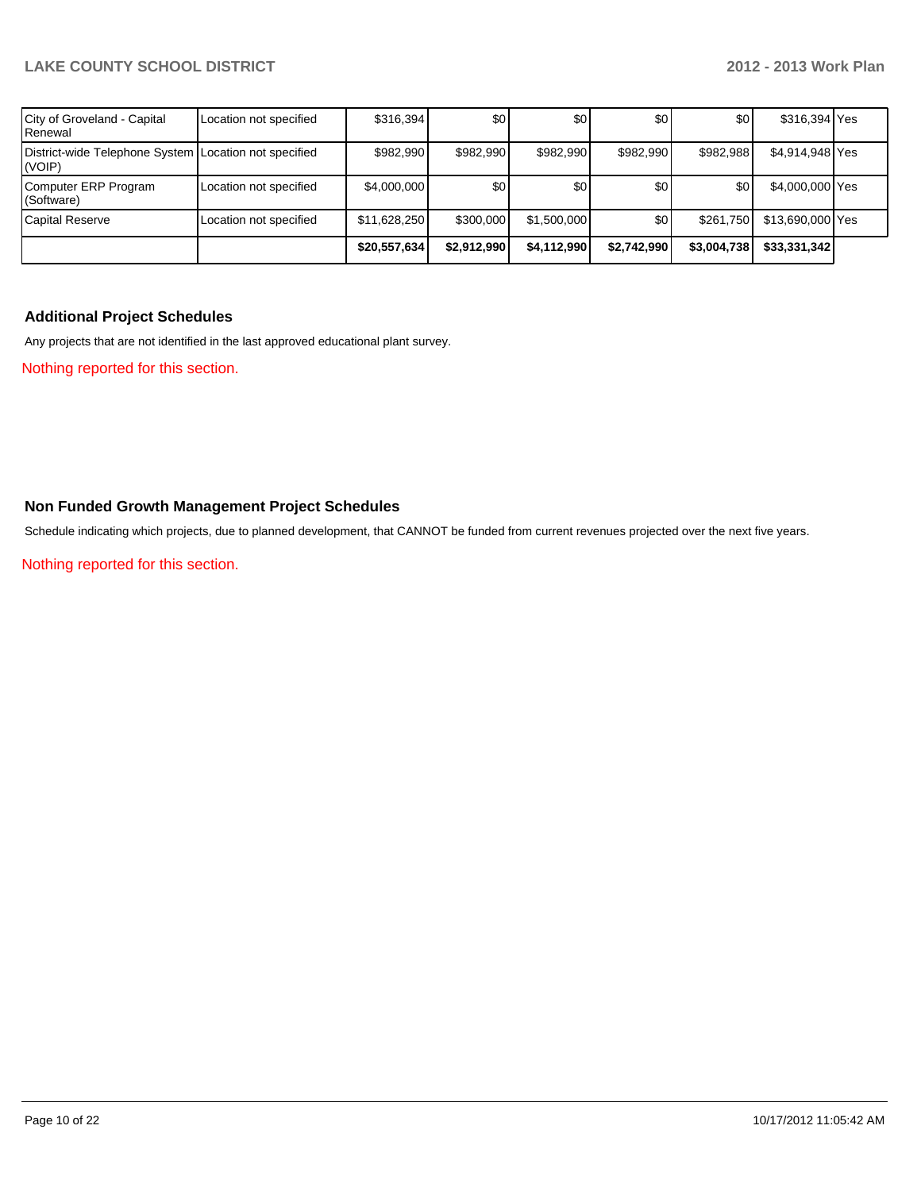| City of Groveland - Capital<br>Renewal                          | Location not specified | \$316,394    | 30          | \$0         | \$0              | \$0         | \$316,394 Yes    |  |
|-----------------------------------------------------------------|------------------------|--------------|-------------|-------------|------------------|-------------|------------------|--|
| District-wide Telephone System Location not specified<br>(VOIP) |                        | \$982.990    | \$982,990   | \$982.990   | \$982,990        | \$982,988   | \$4,914,948 Yes  |  |
| Computer ERP Program<br>(Software)                              | Location not specified | \$4,000,000  | \$0         | \$0         | \$0              | \$0         | \$4,000,000 Yes  |  |
| Capital Reserve                                                 | Location not specified | \$11,628,250 | \$300,000   | \$1,500,000 | \$0 <sub>l</sub> | \$261,750   | \$13,690,000 Yes |  |
|                                                                 |                        | \$20,557,634 | \$2,912,990 | \$4,112,990 | \$2.742.990      | \$3,004,738 | \$33,331,342     |  |

#### **Additional Project Schedules**

Any projects that are not identified in the last approved educational plant survey.

Nothing reported for this section.

### **Non Funded Growth Management Project Schedules**

Schedule indicating which projects, due to planned development, that CANNOT be funded from current revenues projected over the next five years.

Nothing reported for this section.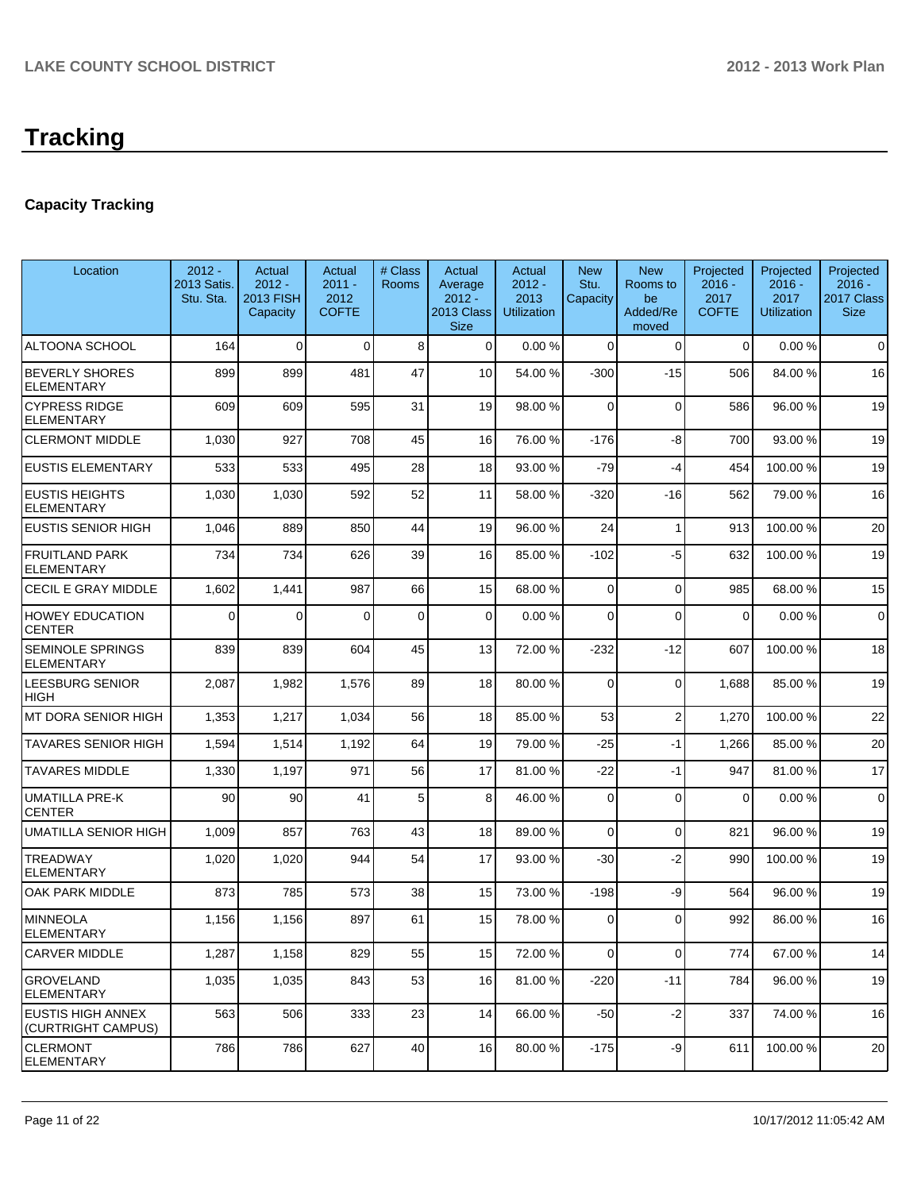## **Capacity Tracking**

| Location                                       | $2012 -$<br>2013 Satis.<br>Stu. Sta. | Actual<br>$2012 -$<br><b>2013 FISH</b><br>Capacity | Actual<br>$2011 -$<br>2012<br><b>COFTE</b> | # Class<br>Rooms | Actual<br>Average<br>$2012 -$<br>2013 Class<br><b>Size</b> | Actual<br>$2012 -$<br>2013<br><b>Utilization</b> | <b>New</b><br>Stu.<br>Capacity | <b>New</b><br>Rooms to<br>be<br>Added/Re<br>moved | Projected<br>$2016 -$<br>2017<br><b>COFTE</b> | Projected<br>$2016 -$<br>2017<br><b>Utilization</b> | Projected<br>$2016 -$<br>2017 Class<br><b>Size</b> |
|------------------------------------------------|--------------------------------------|----------------------------------------------------|--------------------------------------------|------------------|------------------------------------------------------------|--------------------------------------------------|--------------------------------|---------------------------------------------------|-----------------------------------------------|-----------------------------------------------------|----------------------------------------------------|
| ALTOONA SCHOOL                                 | 164                                  | $\mathbf 0$                                        | $\Omega$                                   | 8                | $\Omega$                                                   | 0.00%                                            | $\mathbf 0$                    | $\mathbf 0$                                       | $\mathbf 0$                                   | 0.00%                                               | $\mathbf 0$                                        |
| <b>BEVERLY SHORES</b><br><b>ELEMENTARY</b>     | 899                                  | 899                                                | 481                                        | 47               | 10                                                         | 54.00 %                                          | $-300$                         | $-15$                                             | 506                                           | 84.00 %                                             | 16                                                 |
| <b>CYPRESS RIDGE</b><br><b>ELEMENTARY</b>      | 609                                  | 609                                                | 595                                        | 31               | 19                                                         | 98.00 %                                          | 0                              | $\Omega$                                          | 586                                           | 96.00 %                                             | 19                                                 |
| <b>CLERMONT MIDDLE</b>                         | 1,030                                | 927                                                | 708                                        | 45               | 16                                                         | 76.00 %                                          | $-176$                         | -8                                                | 700                                           | 93.00 %                                             | 19                                                 |
| <b>EUSTIS ELEMENTARY</b>                       | 533                                  | 533                                                | 495                                        | 28               | 18                                                         | 93.00 %                                          | $-79$                          | $-4$                                              | 454                                           | 100.00%                                             | 19                                                 |
| <b>EUSTIS HEIGHTS</b><br><b>ELEMENTARY</b>     | 1,030                                | 1,030                                              | 592                                        | 52               | 11                                                         | 58.00 %                                          | $-320$                         | $-16$                                             | 562                                           | 79.00 %                                             | 16                                                 |
| <b>EUSTIS SENIOR HIGH</b>                      | 1,046                                | 889                                                | 850                                        | 44               | 19                                                         | 96.00 %                                          | 24                             | -1                                                | 913                                           | 100.00%                                             | 20                                                 |
| <b>FRUITLAND PARK</b><br><b>ELEMENTARY</b>     | 734                                  | 734                                                | 626                                        | 39               | 16                                                         | 85.00 %                                          | $-102$                         | -5                                                | 632                                           | 100.00%                                             | 19                                                 |
| CECIL E GRAY MIDDLE                            | 1,602                                | 1,441                                              | 987                                        | 66               | 15                                                         | 68.00 %                                          | 0                              | $\Omega$                                          | 985                                           | 68.00 %                                             | 15                                                 |
| <b>HOWEY EDUCATION</b><br><b>CENTER</b>        | $\Omega$                             | $\Omega$                                           | $\Omega$                                   | $\mathbf 0$      | $\Omega$                                                   | 0.00%                                            | $\Omega$                       | $\Omega$                                          | $\mathbf 0$                                   | 0.00%                                               | $\mathbf 0$                                        |
| SEMINOLE SPRINGS<br>ELEMENTARY                 | 839                                  | 839                                                | 604                                        | 45               | 13                                                         | 72.00 %                                          | $-232$                         | $-12$                                             | 607                                           | 100.00%                                             | 18                                                 |
| LEESBURG SENIOR<br>HIGH                        | 2,087                                | 1,982                                              | 1,576                                      | 89               | 18                                                         | 80.00 %                                          | $\Omega$                       | $\Omega$                                          | 1,688                                         | 85.00 %                                             | 19                                                 |
| MT DORA SENIOR HIGH                            | 1,353                                | 1,217                                              | 1,034                                      | 56               | 18                                                         | 85.00 %                                          | 53                             | $\overline{2}$                                    | 1,270                                         | 100.00%                                             | 22                                                 |
| TAVARES SENIOR HIGH                            | 1,594                                | 1,514                                              | 1,192                                      | 64               | 19                                                         | 79.00 %                                          | $-25$                          | $-1$                                              | 1,266                                         | 85.00 %                                             | 20                                                 |
| <b>TAVARES MIDDLE</b>                          | 1,330                                | 1,197                                              | 971                                        | 56               | 17                                                         | 81.00 %                                          | $-22$                          | $-1$                                              | 947                                           | 81.00%                                              | 17                                                 |
| <b>UMATILLA PRE-K</b><br><b>CENTER</b>         | 90                                   | 90                                                 | 41                                         | 5                | 8                                                          | 46.00 %                                          | $\Omega$                       | $\Omega$                                          | $\mathbf 0$                                   | 0.00%                                               | $\mathbf 0$                                        |
| UMATILLA SENIOR HIGH                           | 1,009                                | 857                                                | 763                                        | 43               | 18                                                         | 89.00 %                                          | 0                              | $\Omega$                                          | 821                                           | 96.00 %                                             | 19                                                 |
| TREADWAY<br><b>ELEMENTARY</b>                  | 1,020                                | 1,020                                              | 944                                        | 54               | 17                                                         | 93.00 %                                          | $-30$                          | $-2$                                              | 990                                           | 100.00%                                             | 19                                                 |
| <b>OAK PARK MIDDLE</b>                         | 873                                  | 785                                                | 573                                        | 38               | 15                                                         | 73.00 %                                          | $-198$                         | -9                                                | 564                                           | 96.00 %                                             | 19                                                 |
| <b>MINNEOLA</b><br>ELEMENTARY                  | 1,156                                | 1,156                                              | 897                                        | 61               | 15                                                         | 78.00 %                                          | $\mathbf 0$                    | $\Omega$                                          | 992                                           | 86.00 %                                             | 16                                                 |
| <b>CARVER MIDDLE</b>                           | 1,287                                | 1,158                                              | 829                                        | 55               | 15                                                         | 72.00 %                                          | 0                              | $\mathbf 0$                                       | 774                                           | 67.00%                                              | 14                                                 |
| <b>GROVELAND</b><br><b>ELEMENTARY</b>          | 1,035                                | 1,035                                              | 843                                        | 53               | 16                                                         | 81.00%                                           | $-220$                         | $-11$                                             | 784                                           | 96.00 %                                             | 19                                                 |
| <b>EUSTIS HIGH ANNEX</b><br>(CURTRIGHT CAMPUS) | 563                                  | 506                                                | 333                                        | 23               | 14                                                         | 66.00 %                                          | $-50$                          | $-2$                                              | 337                                           | 74.00 %                                             | 16                                                 |
| <b>CLERMONT</b><br><b>ELEMENTARY</b>           | 786                                  | 786                                                | 627                                        | 40               | 16                                                         | 80.00 %                                          | $-175$                         | $-9$                                              | 611                                           | 100.00%                                             | 20                                                 |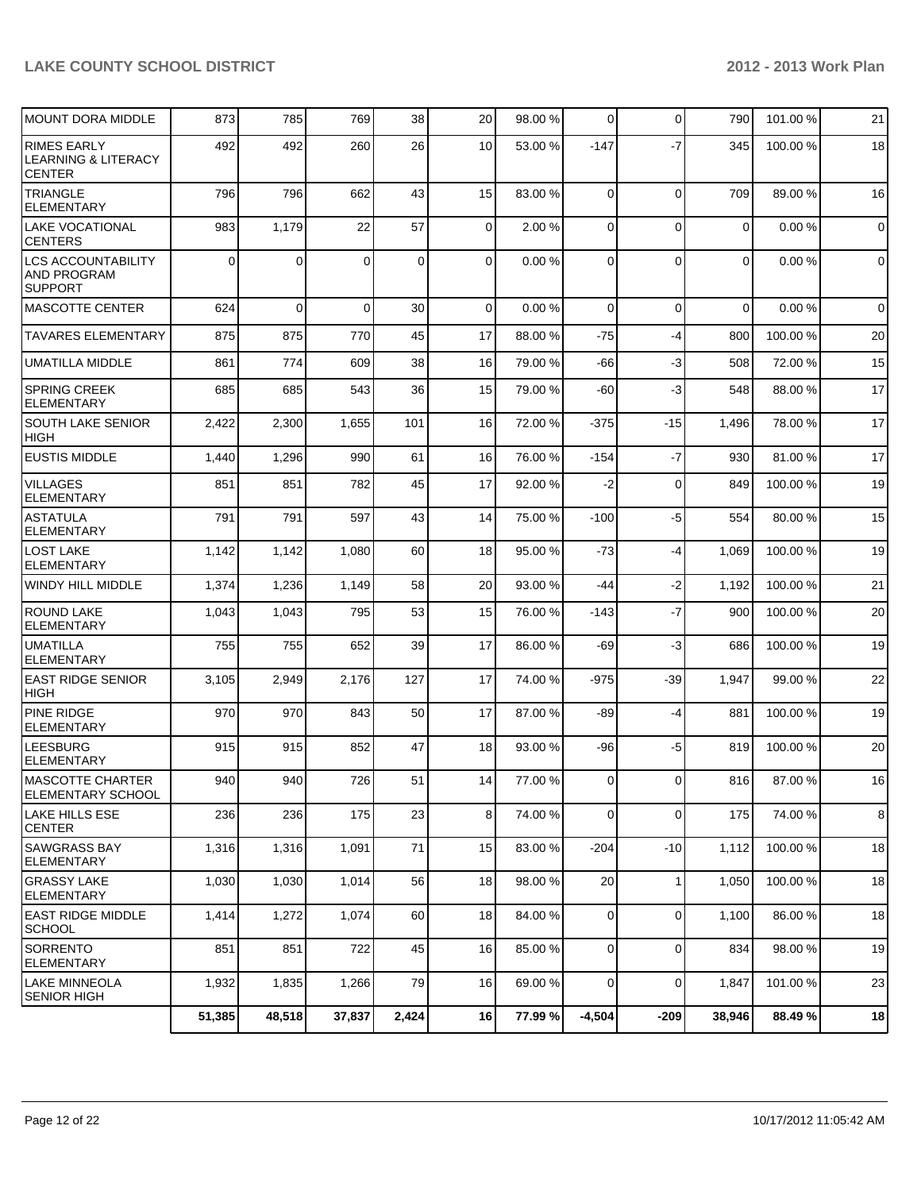| <b>MOUNT DORA MIDDLE</b>                                              | 873    | 785         | 769      | 38          | 20 <sub>2</sub> | 98.00 % | $\Omega$       | $\mathbf 0$ | 790         | 101.00 % | 21             |
|-----------------------------------------------------------------------|--------|-------------|----------|-------------|-----------------|---------|----------------|-------------|-------------|----------|----------------|
| <b>RIMES EARLY</b><br><b>LEARNING &amp; LITERACY</b><br><b>CENTER</b> | 492    | 492         | 260      | 26          | 10 <sup>1</sup> | 53.00 % | $-147$         | $-7$        | 345         | 100.00 % | 18             |
| <b>TRIANGLE</b><br><b>ELEMENTARY</b>                                  | 796    | 796         | 662      | 43          | 15              | 83.00 % | $\overline{0}$ | $\mathbf 0$ | 709         | 89.00%   | 16             |
| <b>LAKE VOCATIONAL</b><br><b>CENTERS</b>                              | 983    | 1,179       | 22       | 57          | $\Omega$        | 2.00 %  | $\Omega$       | $\mathbf 0$ | $\mathbf 0$ | 0.00%    | $\overline{0}$ |
| <b>LCS ACCOUNTABILITY</b><br><b>AND PROGRAM</b><br><b>SUPPORT</b>     | 0      | $\Omega$    | $\Omega$ | $\mathbf 0$ | $\overline{0}$  | 0.00%   | $\Omega$       | $\mathbf 0$ | $\mathbf 0$ | 0.00%    | $\overline{0}$ |
| <b>MASCOTTE CENTER</b>                                                | 624    | $\mathbf 0$ | $\Omega$ | 30          | $\Omega$        | 0.00%   | $\Omega$       | $\mathbf 0$ | $\Omega$    | 0.00%    | $\overline{0}$ |
| <b>TAVARES ELEMENTARY</b>                                             | 875    | 875         | 770      | 45          | 17              | 88.00 % | $-75$          | -4          | 800         | 100.00%  | 20             |
| <b>UMATILLA MIDDLE</b>                                                | 861    | 774         | 609      | 38          | 16              | 79.00 % | -66            | -3          | 508         | 72.00 %  | 15             |
| <b>SPRING CREEK</b><br><b>ELEMENTARY</b>                              | 685    | 685         | 543      | 36          | 15              | 79.00 % | $-60$          | -3          | 548         | 88.00 %  | 17             |
| <b>SOUTH LAKE SENIOR</b><br><b>HIGH</b>                               | 2,422  | 2,300       | 1,655    | 101         | 16              | 72.00 % | $-375$         | $-15$       | 1,496       | 78.00 %  | 17             |
| <b>EUSTIS MIDDLE</b>                                                  | 1,440  | 1,296       | 990      | 61          | 16              | 76.00 % | $-154$         | $-7$        | 930         | 81.00%   | 17             |
| <b>VILLAGES</b><br><b>ELEMENTARY</b>                                  | 851    | 851         | 782      | 45          | 17              | 92.00 % | $-2$           | $\mathbf 0$ | 849         | 100.00%  | 19             |
| <b>ASTATULA</b><br><b>ELEMENTARY</b>                                  | 791    | 791         | 597      | 43          | 14              | 75.00 % | $-100$         | -5          | 554         | 80.00%   | 15             |
| LOST LAKE<br><b>ELEMENTARY</b>                                        | 1,142  | 1,142       | 1,080    | 60          | 18              | 95.00 % | $-73$          | -4          | 1,069       | 100.00%  | 19             |
| WINDY HILL MIDDLE                                                     | 1,374  | 1,236       | 1,149    | 58          | 20              | 93.00 % | $-44$          | $-2$        | 1,192       | 100.00%  | 21             |
| <b>ROUND LAKE</b><br><b>ELEMENTARY</b>                                | 1,043  | 1,043       | 795      | 53          | 15              | 76.00 % | $-143$         | $-7$        | 900         | 100.00%  | 20             |
| UMATILLA<br><b>ELEMENTARY</b>                                         | 755    | 755         | 652      | 39          | 17              | 86.00 % | $-69$          | -3          | 686         | 100.00%  | 19             |
| <b>EAST RIDGE SENIOR</b><br><b>HIGH</b>                               | 3,105  | 2,949       | 2,176    | 127         | 17              | 74.00 % | $-975$         | $-39$       | 1,947       | 99.00 %  | 22             |
| <b>PINE RIDGE</b><br><b>ELEMENTARY</b>                                | 970    | 970         | 843      | 50          | 17              | 87.00 % | -89            | -4          | 881         | 100.00%  | 19             |
| <b>LEESBURG</b><br>ELEMENTARY                                         | 915    | 915         | 852      | 47          | 18              | 93.00 % | $-96$          | $-5$        | 819         | 100.00%  | 20             |
| MASCOTTE CHARTER<br>ELEMENTARY SCHOOL                                 | 940    | 940         | 726      | 51          | 14              | 77.00 % | $\overline{0}$ | $\Omega$    | 816         | 87.00%   | 16             |
| LAKE HILLS ESE<br><b>CENTER</b>                                       | 236    | 236         | 175      | 23          | 8 <sup>1</sup>  | 74.00 % | $\overline{0}$ | 0           | 175         | 74.00 %  | 8              |
| <b>SAWGRASS BAY</b><br><b>ELEMENTARY</b>                              | 1,316  | 1,316       | 1,091    | 71          | 15              | 83.00 % | $-204$         | $-10$       | 1,112       | 100.00%  | 18             |
| <b>GRASSY LAKE</b><br><b>ELEMENTARY</b>                               | 1,030  | 1,030       | 1,014    | 56          | 18              | 98.00 % | 20             | 1           | 1,050       | 100.00 % | 18             |
| EAST RIDGE MIDDLE<br>SCHOOL                                           | 1,414  | 1,272       | 1,074    | 60          | 18              | 84.00 % | $\overline{0}$ | $\mathbf 0$ | 1,100       | 86.00 %  | 18             |
| SORRENTO<br>ELEMENTARY                                                | 851    | 851         | 722      | 45          | 16              | 85.00 % | $\overline{0}$ | 0           | 834         | 98.00 %  | 19             |
| LAKE MINNEOLA<br> SENIOR HIGH                                         | 1,932  | 1,835       | 1,266    | 79          | 16              | 69.00 % | $\overline{0}$ | $\mathbf 0$ | 1,847       | 101.00%  | 23             |
|                                                                       | 51,385 | 48,518      | 37,837   | 2,424       | 16              | 77.99 % | $-4,504$       | $-209$      | 38,946      | 88.49 %  | 18             |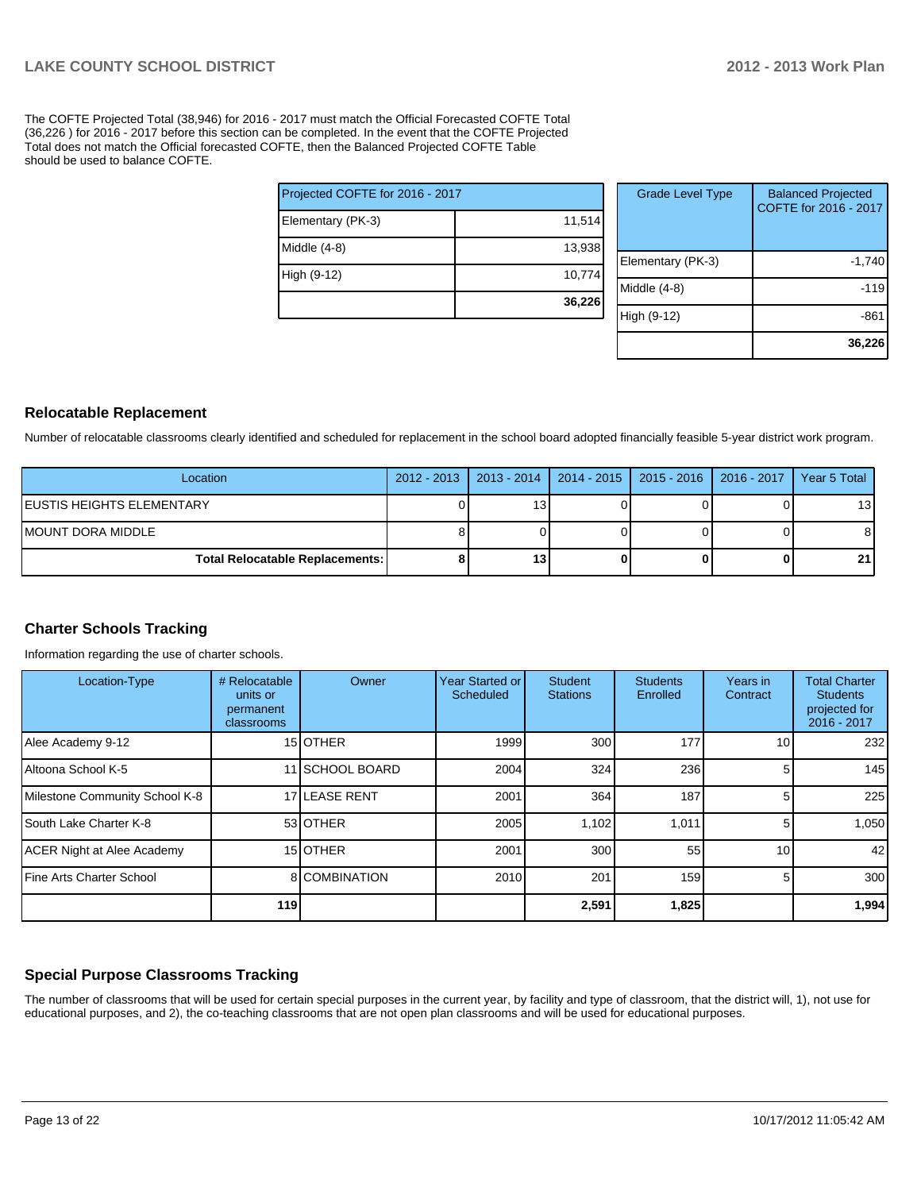The COFTE Projected Total (38,946) for 2016 - 2017 must match the Official Forecasted COFTE Total (36,226 ) for 2016 - 2017 before this section can be completed. In the event that the COFTE Projected Total does not match the Official forecasted COFTE, then the Balanced Projected COFTE Table should be used to balance COFTE.

|                                 | 36,226 |
|---------------------------------|--------|
| High (9-12)                     | 10,774 |
| Middle (4-8)                    | 13,938 |
| Elementary (PK-3)               | 11,514 |
| Projected COFTE for 2016 - 2017 |        |

| <b>Grade Level Type</b> | <b>Balanced Projected</b><br>COFTE for 2016 - 2017 |
|-------------------------|----------------------------------------------------|
| Elementary (PK-3)       | $-1,740$                                           |
| Middle $(4-8)$          | $-119$                                             |
| High (9-12)             | -86                                                |
|                         | 36,226                                             |

#### **Relocatable Replacement**

Number of relocatable classrooms clearly identified and scheduled for replacement in the school board adopted financially feasible 5-year district work program.

| Location                               | 2012 - 2013   2013 - 2014   2014 - 2015   2015 - 2016   2016 - 2017   Year 5 Total |  |                 |
|----------------------------------------|------------------------------------------------------------------------------------|--|-----------------|
| IEUSTIS HEIGHTS ELEMENTARY             | 131                                                                                |  | 13 <sup>1</sup> |
| IMOUNT DORA MIDDLE                     |                                                                                    |  |                 |
| <b>Total Relocatable Replacements:</b> | 13 <sub>1</sub>                                                                    |  | 21'             |

#### **Charter Schools Tracking**

Information regarding the use of charter schools.

| Location-Type                    | # Relocatable<br>units or<br>permanent<br>classrooms | Owner           | Year Started or<br>Scheduled | <b>Student</b><br><b>Stations</b> | <b>Students</b><br>Enrolled | Years in<br>Contract | <b>Total Charter</b><br><b>Students</b><br>projected for<br>2016 - 2017 |
|----------------------------------|------------------------------------------------------|-----------------|------------------------------|-----------------------------------|-----------------------------|----------------------|-------------------------------------------------------------------------|
| Alee Academy 9-12                |                                                      | 15 <b>OTHER</b> | 1999                         | 300                               | 177                         | 10 <sub>1</sub>      | 232                                                                     |
| Altoona School K-5               |                                                      | 11 SCHOOL BOARD | 2004                         | 324                               | 236                         | 5.                   | 145                                                                     |
| Milestone Community School K-8   |                                                      | 17 LEASE RENT   | 2001                         | 364                               | 187                         | 5.                   | 225                                                                     |
| <b>South Lake Charter K-8</b>    |                                                      | 53 OTHER        | 2005                         | 1,102                             | 1,011                       | 5.                   | 1,050                                                                   |
| ACER Night at Alee Academy       |                                                      | 15 <b>OTHER</b> | 2001                         | 300                               | 55                          | 10 <sup>1</sup>      | 42                                                                      |
| <b>IFine Arts Charter School</b> |                                                      | 8 COMBINATION   | 2010                         | 201                               | 159                         | 5.                   | 300 <sup>1</sup>                                                        |
|                                  | 119                                                  |                 |                              | 2,591                             | 1,825                       |                      | 1,994                                                                   |

#### **Special Purpose Classrooms Tracking**

The number of classrooms that will be used for certain special purposes in the current year, by facility and type of classroom, that the district will, 1), not use for educational purposes, and 2), the co-teaching classrooms that are not open plan classrooms and will be used for educational purposes.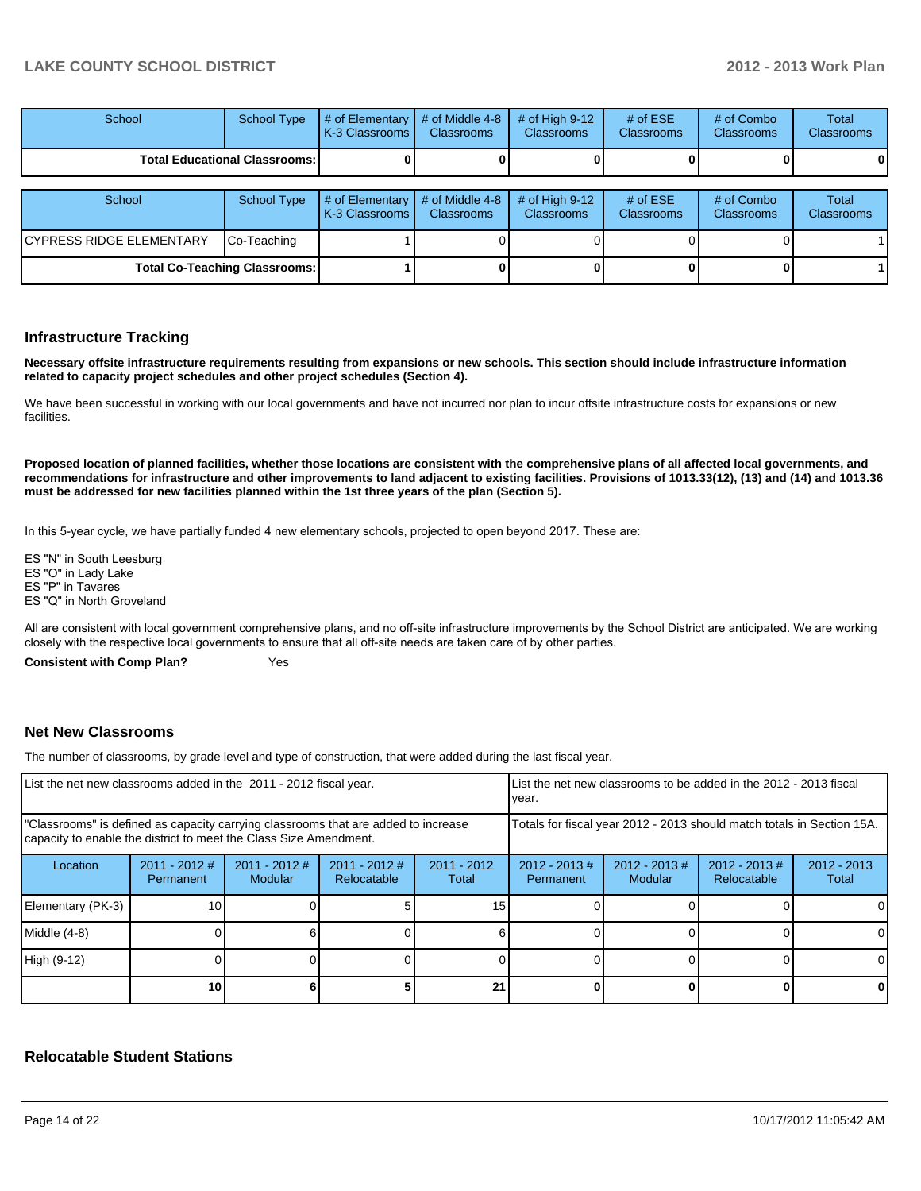| School                                 | School Type | $\parallel$ # of Elementary $\parallel$ # of Middle 4-8 $\parallel$ # of High 9-12 $\parallel$<br><b>K-3 Classrooms L</b> | <b>Classrooms</b> | <b>Classrooms</b> | $#$ of ESE<br><b>Classrooms</b> | # of Combo<br><b>Classrooms</b> | Total<br><b>Classrooms</b> |
|----------------------------------------|-------------|---------------------------------------------------------------------------------------------------------------------------|-------------------|-------------------|---------------------------------|---------------------------------|----------------------------|
| <b>Total Educational Classrooms: I</b> |             |                                                                                                                           |                   |                   |                                 |                                 | 01                         |

| School                          | School Type                          | $\parallel$ # of Elementary $\parallel$ # of Middle 4-8 $\parallel$ # of High 9-12<br><b>IK-3 Classrooms L</b> | <b>Classrooms</b> | <b>Classrooms</b> | # of $ESE$<br><b>Classrooms</b> | # of Combo<br><b>Classrooms</b> | Total<br><b>Classrooms</b> |
|---------------------------------|--------------------------------------|----------------------------------------------------------------------------------------------------------------|-------------------|-------------------|---------------------------------|---------------------------------|----------------------------|
| <b>CYPRESS RIDGE ELEMENTARY</b> | Co-Teaching                          |                                                                                                                |                   |                   |                                 |                                 |                            |
|                                 | <b>Total Co-Teaching Classrooms:</b> |                                                                                                                |                   |                   |                                 | 01                              |                            |

#### **Infrastructure Tracking**

**Necessary offsite infrastructure requirements resulting from expansions or new schools. This section should include infrastructure information related to capacity project schedules and other project schedules (Section 4).**

We have been successful in working with our local governments and have not incurred nor plan to incur offsite infrastructure costs for expansions or new facilities.

**Proposed location of planned facilities, whether those locations are consistent with the comprehensive plans of all affected local governments, and recommendations for infrastructure and other improvements to land adjacent to existing facilities. Provisions of 1013.33(12), (13) and (14) and 1013.36 must be addressed for new facilities planned within the 1st three years of the plan (Section 5).**

In this 5-year cycle, we have partially funded 4 new elementary schools, projected to open beyond 2017. These are:

ES "N" in South Leesburg ES "O" in Lady Lake ES "P" in Tavares ES "O" in North Groveland

All are consistent with local government comprehensive plans, and no off-site infrastructure improvements by the School District are anticipated. We are working closely with the respective local governments to ensure that all off-site needs are taken care of by other parties.

**Consistent with Comp Plan?** Yes

#### **Net New Classrooms**

The number of classrooms, by grade level and type of construction, that were added during the last fiscal year.

| List the net new classrooms added in the 2011 - 2012 fiscal year.                                                                                       |                              |                                   |                                | Ivear.                 |                                                                        | LList the net new classrooms to be added in the 2012 - 2013 fiscal |                                 |                        |
|---------------------------------------------------------------------------------------------------------------------------------------------------------|------------------------------|-----------------------------------|--------------------------------|------------------------|------------------------------------------------------------------------|--------------------------------------------------------------------|---------------------------------|------------------------|
| "Classrooms" is defined as capacity carrying classrooms that are added to increase<br>capacity to enable the district to meet the Class Size Amendment. |                              |                                   |                                |                        | Totals for fiscal year 2012 - 2013 should match totals in Section 15A. |                                                                    |                                 |                        |
| Location                                                                                                                                                | $2011 - 2012$ #<br>Permanent | $2011 - 2012$ #<br><b>Modular</b> | $2011 - 2012$ #<br>Relocatable | $2011 - 2012$<br>Total | $2012 - 2013$ #<br>Permanent                                           | $2012 - 2013$ #<br>Modular                                         | $2012 - 2013 \#$<br>Relocatable | $2012 - 2013$<br>Total |
| Elementary (PK-3)                                                                                                                                       | 10 <sub>1</sub>              |                                   |                                | 15                     |                                                                        |                                                                    |                                 |                        |
| Middle (4-8)                                                                                                                                            |                              |                                   |                                |                        |                                                                        |                                                                    |                                 |                        |
| High (9-12)                                                                                                                                             |                              |                                   |                                |                        |                                                                        |                                                                    |                                 | $\Omega$               |
|                                                                                                                                                         | 10 <sub>1</sub>              |                                   |                                | 21                     |                                                                        |                                                                    |                                 | 0                      |

#### **Relocatable Student Stations**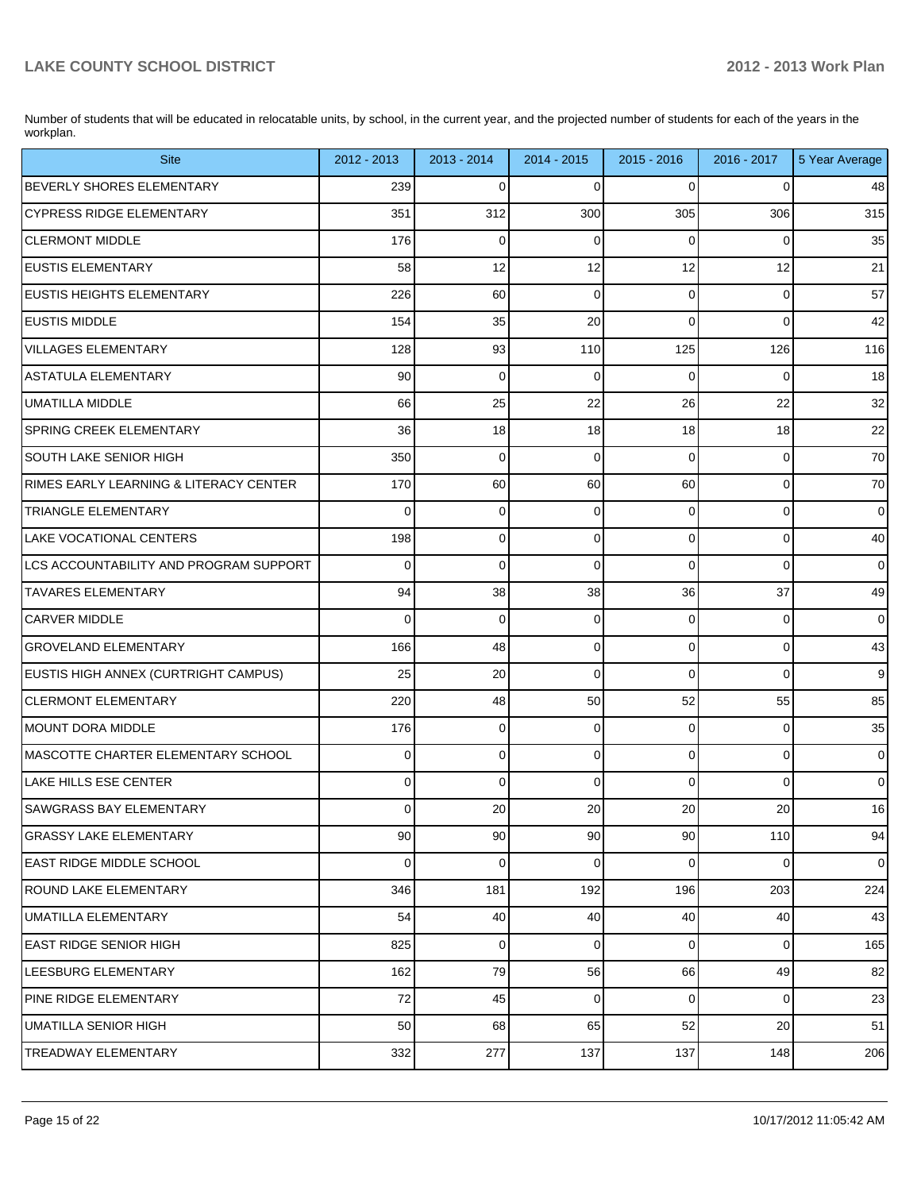Number of students that will be educated in relocatable units, by school, in the current year, and the projected number of students for each of the years in the workplan.

| <b>Site</b>                            | 2012 - 2013    | $2013 - 2014$ | 2014 - 2015     | 2015 - 2016    | $2016 - 2017$ | 5 Year Average |
|----------------------------------------|----------------|---------------|-----------------|----------------|---------------|----------------|
| <b>BEVERLY SHORES ELEMENTARY</b>       | 239            | $\mathbf 0$   | $\Omega$        | $\Omega$       | 0             | 48             |
| <b>CYPRESS RIDGE ELEMENTARY</b>        | 351            | 312           | 300             | 305            | 306           | 315            |
| <b>CLERMONT MIDDLE</b>                 | 176            | 0             | 0               | $\Omega$       | $\mathbf 0$   | 35             |
| <b>EUSTIS ELEMENTARY</b>               | 58             | 12            | 12              | 12             | 12            | 21             |
| <b>EUSTIS HEIGHTS ELEMENTARY</b>       | 226            | 60            | 0               | $\overline{0}$ | $\mathbf 0$   | 57             |
| <b>EUSTIS MIDDLE</b>                   | 154            | 35            | 20              | $\Omega$       | $\Omega$      | 42             |
| <b>VILLAGES ELEMENTARY</b>             | 128            | 93            | 110             | 125            | 126           | 116            |
| <b>ASTATULA ELEMENTARY</b>             | 90             | $\mathbf 0$   | $\Omega$        | $\Omega$       | $\Omega$      | 18             |
| <b>UMATILLA MIDDLE</b>                 | 66             | 25            | 22              | 26             | 22            | 32             |
| <b>SPRING CREEK ELEMENTARY</b>         | 36             | 18            | 18              | 18             | 18            | 22             |
| <b>SOUTH LAKE SENIOR HIGH</b>          | 350            | $\mathbf 0$   | 0               | $\Omega$       | $\mathbf 0$   | 70             |
| RIMES EARLY LEARNING & LITERACY CENTER | 170            | 60            | 60              | 60             | $\mathbf 0$   | 70             |
| <b>TRIANGLE ELEMENTARY</b>             | $\Omega$       | $\mathbf 0$   | 0               | $\Omega$       | $\mathbf 0$   | $\overline{0}$ |
| <b>LAKE VOCATIONAL CENTERS</b>         | 198            | $\mathbf 0$   | 0               | $\overline{0}$ | $\mathbf 0$   | 40             |
| LCS ACCOUNTABILITY AND PROGRAM SUPPORT | $\Omega$       | $\mathbf 0$   | $\Omega$        | $\Omega$       | $\mathbf 0$   | $\overline{0}$ |
| <b>TAVARES ELEMENTARY</b>              | 94             | 38            | 38              | 36             | 37            | 49             |
| <b>CARVER MIDDLE</b>                   | $\Omega$       | $\mathbf 0$   | 0               | $\overline{0}$ | $\mathbf 0$   | $\overline{0}$ |
| <b>GROVELAND ELEMENTARY</b>            | 166            | 48            | 0               | $\overline{0}$ | $\mathbf 0$   | 43             |
| EUSTIS HIGH ANNEX (CURTRIGHT CAMPUS)   | 25             | 20            | $\Omega$        | $\Omega$       | $\Omega$      | 9              |
| <b>CLERMONT ELEMENTARY</b>             | 220            | 48            | 50              | 52             | 55            | 85             |
| MOUNT DORA MIDDLE                      | 176            | 0             | 0               | $\overline{0}$ | $\mathbf 0$   | 35             |
| MASCOTTE CHARTER ELEMENTARY SCHOOL     | 0              | $\mathbf 0$   | 0               | $\overline{0}$ | $\mathbf 0$   | $\overline{0}$ |
| LAKE HILLS ESE CENTER                  | $\Omega$       | $\mathbf 0$   | 0               | $\Omega$       | $\Omega$      | $\mathbf 0$    |
| <b>SAWGRASS BAY ELEMENTARY</b>         | $\overline{0}$ | 20            | 20              | 20             | 20            | 16             |
| <b>GRASSY LAKE ELEMENTARY</b>          | 90             | 90            | 90              | 90             | 110           | 94             |
| <b>EAST RIDGE MIDDLE SCHOOL</b>        | $\overline{0}$ | $\mathbf 0$   | 0               | $\overline{0}$ | 0             | $\overline{0}$ |
| <b>ROUND LAKE ELEMENTARY</b>           | 346            | 181           | 192             | 196            | 203           | 224            |
| UMATILLA ELEMENTARY                    | 54             | 40            | 40 <sup>°</sup> | 40             | 40            | 43             |
| EAST RIDGE SENIOR HIGH                 | 825            | $\mathbf 0$   | $\mathbf 0$     | $\overline{0}$ | 0             | 165            |
| LEESBURG ELEMENTARY                    | 162            | 79            | 56              | 66             | 49            | 82             |
| PINE RIDGE ELEMENTARY                  | 72             | 45            | 0               | $\overline{0}$ | $\mathbf 0$   | 23             |
| UMATILLA SENIOR HIGH                   | 50             | 68            | 65              | 52             | 20            | 51             |
| TREADWAY ELEMENTARY                    | 332            | 277           | 137             | 137            | 148           | 206            |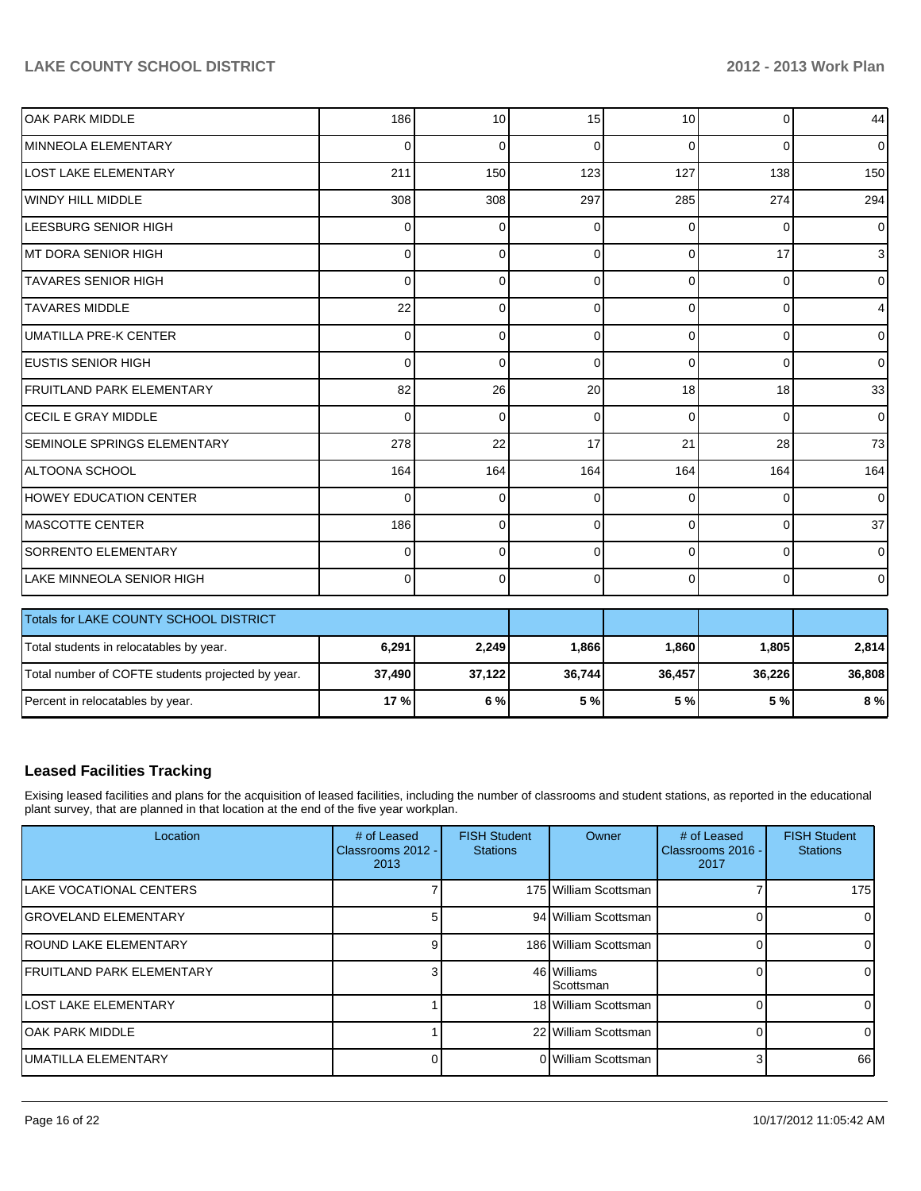| <b>OAK PARK MIDDLE</b>                            | 186      | 10          | 15           | 10             | $\Omega$       | 44              |
|---------------------------------------------------|----------|-------------|--------------|----------------|----------------|-----------------|
| MINNEOLA ELEMENTARY                               | 0        | $\Omega$    | $\Omega$     | $\Omega$       | $\Omega$       | $\overline{0}$  |
| <b>LOST LAKE ELEMENTARY</b>                       | 211      | 150         | 123          | 127            | 138            | 150             |
| WINDY HILL MIDDLE                                 | 308      | 308         | 297          | 285            | 274            | 294             |
| LEESBURG SENIOR HIGH                              | 0        | $\mathbf 0$ | 0            | $\overline{0}$ | 0              | $\overline{0}$  |
| MT DORA SENIOR HIGH                               | 0        | $\Omega$    | 0            | $\Omega$       | 17             | 3 <sup>1</sup>  |
| <b>TAVARES SENIOR HIGH</b>                        | 0        | $\Omega$    | 0            | $\Omega$       | $\Omega$       | $\overline{0}$  |
| <b>TAVARES MIDDLE</b>                             | 22       | $\Omega$    | $\Omega$     | $\Omega$       | $\Omega$       | $\overline{4}$  |
| <b>UMATILLA PRE-K CENTER</b>                      | 0        | $\Omega$    | $\Omega$     | $\Omega$       | $\Omega$       | $\overline{0}$  |
| <b>IEUSTIS SENIOR HIGH</b>                        | $\Omega$ | $\Omega$    | $\mathbf{0}$ | $\Omega$       | $\Omega$       | $\overline{0}$  |
| FRUITLAND PARK ELEMENTARY                         | 82       | 26          | 20           | 18             | 18             | 33              |
| <b>CECIL E GRAY MIDDLE</b>                        | 0        | $\Omega$    | 0            | $\Omega$       | $\Omega$       | $\overline{0}$  |
| SEMINOLE SPRINGS ELEMENTARY                       | 278      | 22          | 17           | 21             | 28             | 73              |
| ALTOONA SCHOOL                                    | 164      | 164         | 164          | 164            | 164            | 164             |
| <b>HOWEY EDUCATION CENTER</b>                     | 0        | $\Omega$    | $\Omega$     | $\Omega$       | $\Omega$       | $\overline{0}$  |
| <b>MASCOTTE CENTER</b>                            | 186      | $\Omega$    | $\mathbf{0}$ | $\Omega$       | $\Omega$       | 37 <sup>1</sup> |
| <b>SORRENTO ELEMENTARY</b>                        | 0        | $\Omega$    | $\Omega$     | $\Omega$       | 0              | $\overline{0}$  |
| LAKE MINNEOLA SENIOR HIGH                         | $\Omega$ | $\Omega$    | $\Omega$     | $\Omega$       | $\overline{0}$ | $\overline{0}$  |
| Totals for LAKE COUNTY SCHOOL DISTRICT            |          |             |              |                |                |                 |
| Total students in relocatables by year.           | 6,291    | 2,249       | 1,866        | 1,860          | 1,805          | 2,814           |
| Total number of COFTE students projected by year. | 37,490   | 37,122      | 36,744       | 36,457         | 36,226         | 36,808          |
| Percent in relocatables by year.                  | 17 %     | 6%          | 5 %          | 5 %            | 5 %            | 8 %             |

#### **Leased Facilities Tracking**

Exising leased facilities and plans for the acquisition of leased facilities, including the number of classrooms and student stations, as reported in the educational plant survey, that are planned in that location at the end of the five year workplan.

| Location                          | # of Leased<br>Classrooms 2012 -<br>2013 | <b>FISH Student</b><br><b>Stations</b> | Owner                    | # of Leased<br>Classrooms 2016 -<br>2017 | <b>FISH Student</b><br><b>Stations</b> |
|-----------------------------------|------------------------------------------|----------------------------------------|--------------------------|------------------------------------------|----------------------------------------|
| ILAKE VOCATIONAL CENTERS          |                                          |                                        | 175 William Scottsman    |                                          | 175                                    |
| IGROVELAND ELEMENTARY             |                                          |                                        | 94 William Scottsman     |                                          | 01                                     |
| <b>IROUND LAKE ELEMENTARY</b>     |                                          |                                        | 186 William Scottsman    |                                          | 01                                     |
| <b>IFRUITLAND PARK ELEMENTARY</b> |                                          |                                        | 46 Williams<br>Scottsman |                                          | $\Omega$                               |
| llost lake elementary             |                                          |                                        | 18 William Scottsman     |                                          | 01                                     |
| IOAK PARK MIDDLE                  |                                          |                                        | 22 William Scottsman     |                                          | 01                                     |
| IUMATILLA ELEMENTARY              |                                          |                                        | 0 William Scottsman      |                                          | 66                                     |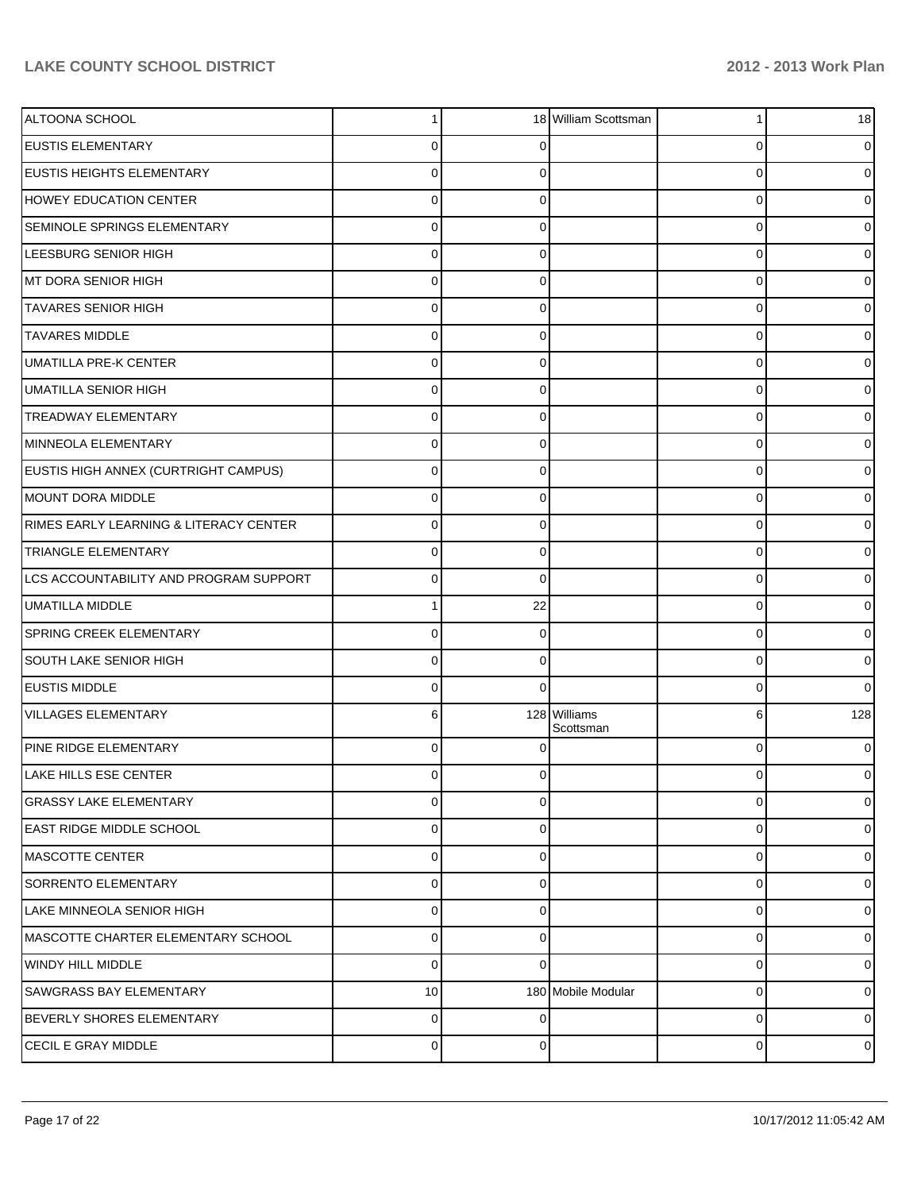| ALTOONA SCHOOL                         |                |          | 18 William Scottsman      |          | 18             |
|----------------------------------------|----------------|----------|---------------------------|----------|----------------|
| <b>EUSTIS ELEMENTARY</b>               | U              |          |                           | 0        | 0              |
| <b>EUSTIS HEIGHTS ELEMENTARY</b>       | U              |          |                           | $\Omega$ | 0              |
| <b>HOWEY EDUCATION CENTER</b>          | 0              |          |                           | 0        | 0              |
| SEMINOLE SPRINGS ELEMENTARY            | 0              |          |                           | $\Omega$ | 0              |
| LEESBURG SENIOR HIGH                   | 0              | C        |                           | $\Omega$ | 0              |
| MT DORA SENIOR HIGH                    | U              |          |                           | $\Omega$ | 0              |
| <b>TAVARES SENIOR HIGH</b>             | 0              | ∩        |                           | $\Omega$ | 0              |
| <b>TAVARES MIDDLE</b>                  | 0              |          |                           | $\Omega$ | 0              |
| <b>UMATILLA PRE-K CENTER</b>           | 0              | C        |                           | $\Omega$ | 0              |
| <b>UMATILLA SENIOR HIGH</b>            | ი              |          |                           | $\Omega$ | 0              |
| <b>TREADWAY ELEMENTARY</b>             | 0              | ∩        |                           | $\Omega$ | 0              |
| MINNEOLA ELEMENTARY                    | $\mathbf{0}$   |          |                           | $\Omega$ | 0              |
| EUSTIS HIGH ANNEX (CURTRIGHT CAMPUS)   | 0              | C        |                           | $\Omega$ | 0              |
| MOUNT DORA MIDDLE                      | U              |          |                           | 0        | 0              |
| RIMES EARLY LEARNING & LITERACY CENTER | 0              | ∩        |                           | $\Omega$ | 0              |
| <b>TRIANGLE ELEMENTARY</b>             | U              |          |                           | $\Omega$ | 0              |
| LCS ACCOUNTABILITY AND PROGRAM SUPPORT | 0              | $\Omega$ |                           | $\Omega$ | 0              |
| <b>UMATILLA MIDDLE</b>                 |                | 22       |                           | 0        | 0              |
| SPRING CREEK ELEMENTARY                | 0              | 0        |                           | $\Omega$ | 0              |
| <b>SOUTH LAKE SENIOR HIGH</b>          | 0              | $\Omega$ |                           | $\Omega$ | 0              |
| EUSTIS MIDDLE                          | 0              | $\Omega$ |                           | $\Omega$ | $\overline{0}$ |
| <b>VILLAGES ELEMENTARY</b>             | 6              |          | 128 Williams<br>Scottsman | 6        | 128            |
| PINE RIDGE ELEMENTARY                  | $\Omega$       |          |                           | $\Omega$ | 0              |
| <b>LAKE HILLS ESE CENTER</b>           | $\Omega$       | $\Omega$ |                           | 0        | $\overline{0}$ |
| <b>GRASSY LAKE ELEMENTARY</b>          | $\Omega$       | $\Omega$ |                           | $\Omega$ | $\overline{0}$ |
| <b>EAST RIDGE MIDDLE SCHOOL</b>        | $\Omega$       | $\Omega$ |                           | $\Omega$ | $\overline{0}$ |
| IMASCOTTE CENTER                       | $\Omega$       | $\Omega$ |                           | 0        | $\overline{0}$ |
| <b>SORRENTO ELEMENTARY</b>             | $\Omega$       | $\Omega$ |                           | $\Omega$ | $\overline{0}$ |
| LAKE MINNEOLA SENIOR HIGH              | $\Omega$       | $\Omega$ |                           | $\Omega$ | $\overline{0}$ |
| MASCOTTE CHARTER ELEMENTARY SCHOOL     | $\Omega$       | $\Omega$ |                           | $\Omega$ | $\overline{0}$ |
| <b>WINDY HILL MIDDLE</b>               | $\Omega$       | $\Omega$ |                           | 0        | $\overline{0}$ |
| <b>SAWGRASS BAY ELEMENTARY</b>         | 10             |          | 180 Mobile Modular        | $\Omega$ | $\overline{0}$ |
| BEVERLY SHORES ELEMENTARY              | $\Omega$       | $\Omega$ |                           | $\Omega$ | $\overline{0}$ |
| CECIL E GRAY MIDDLE                    | $\overline{0}$ | 0        |                           | 0        | $\circ$        |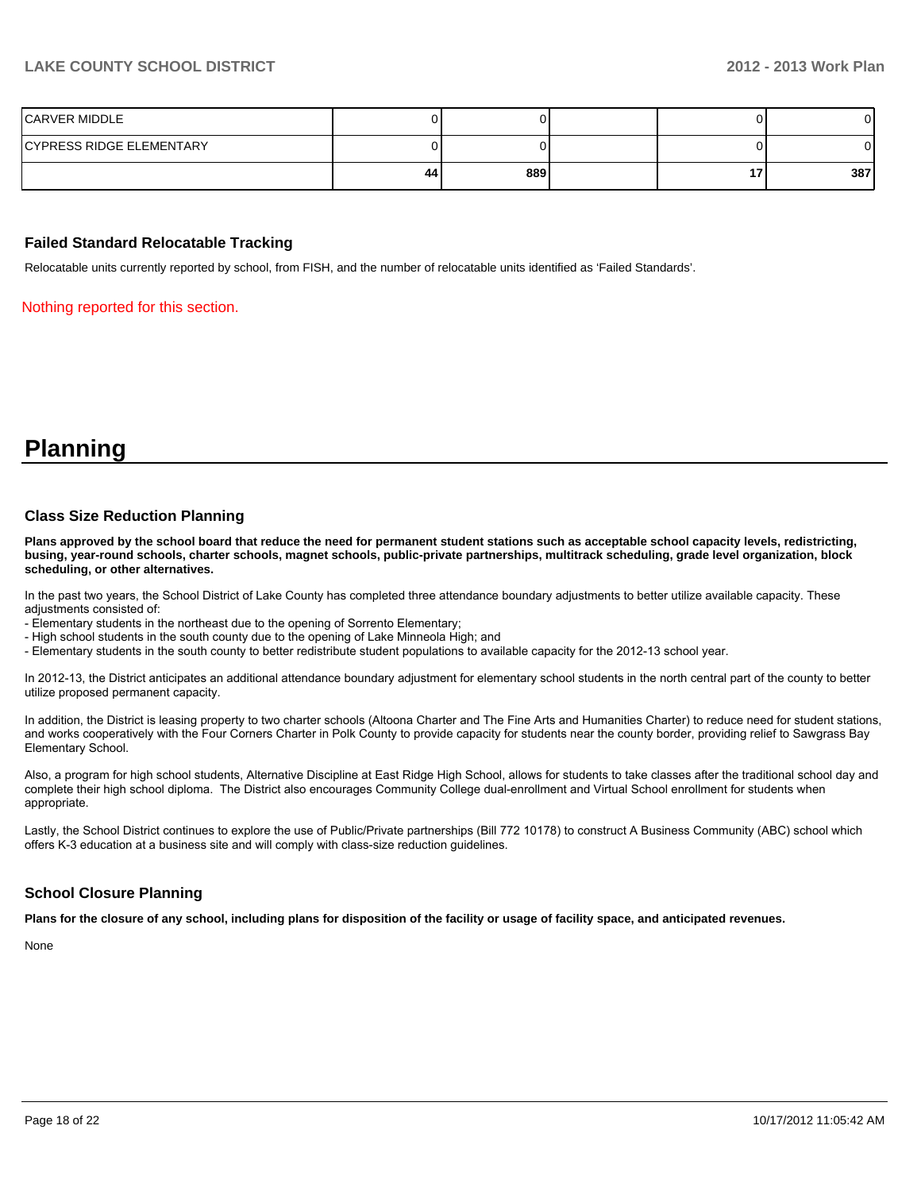| CARVER MIDDLE            |    |     |  |     |
|--------------------------|----|-----|--|-----|
| CYPRESS RIDGE ELEMENTARY |    |     |  | 01  |
|                          | 44 | 889 |  | 387 |

#### **Failed Standard Relocatable Tracking**

Relocatable units currently reported by school, from FISH, and the number of relocatable units identified as 'Failed Standards'.

Nothing reported for this section.

## **Planning**

#### **Class Size Reduction Planning**

**Plans approved by the school board that reduce the need for permanent student stations such as acceptable school capacity levels, redistricting, busing, year-round schools, charter schools, magnet schools, public-private partnerships, multitrack scheduling, grade level organization, block scheduling, or other alternatives.**

In the past two years, the School District of Lake County has completed three attendance boundary adjustments to better utilize available capacity. These adjustments consisted of

- Elementary students in the northeast due to the opening of Sorrento Elementary;
- High school students in the south county due to the opening of Lake Minneola High: and
- Elementary students in the south county to better redistribute student populations to available capacity for the 2012-13 school year.

In 2012-13, the District anticipates an additional attendance boundary adjustment for elementary school students in the north central part of the county to better utilize proposed permanent capacity.

In addition, the District is leasing property to two charter schools (Altoona Charter and The Fine Arts and Humanities Charter) to reduce need for student stations. and works cooperatively with the Four Corners Charter in Polk County to provide capacity for students near the county border, providing relief to Sawgrass Bay Elementary School.

Also, a program for high school students, Alternative Discipline at East Ridge High School, allows for students to take classes after the traditional school day and complete their high school diploma. The District also encourages Community College dual-enrollment and Virtual School enrollment for students when appropriate.

Lastly, the School District continues to explore the use of Public/Private partnerships (Bill 772 10178) to construct A Business Community (ABC) school which offers K-3 education at a business site and will comply with class-size reduction quidelines.

#### **School Closure Planning**

**Plans for the closure of any school, including plans for disposition of the facility or usage of facility space, and anticipated revenues.**

None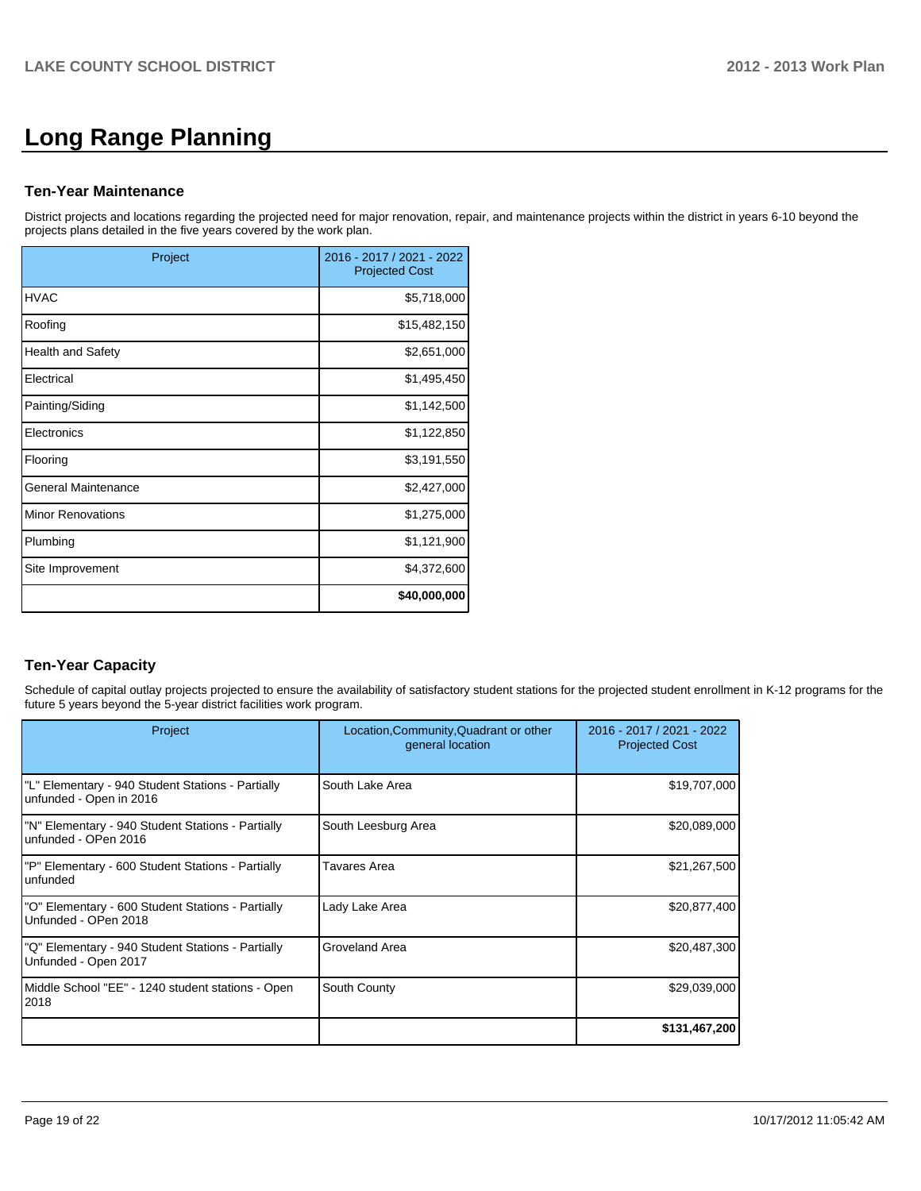# **Long Range Planning**

#### **Ten-Year Maintenance**

District projects and locations regarding the projected need for major renovation, repair, and maintenance projects within the district in years 6-10 beyond the projects plans detailed in the five years covered by the work plan.

| Project                  | 2016 - 2017 / 2021 - 2022<br><b>Projected Cost</b> |
|--------------------------|----------------------------------------------------|
| <b>HVAC</b>              | \$5,718,000                                        |
| Roofing                  | \$15,482,150                                       |
| <b>Health and Safety</b> | \$2,651,000                                        |
| Electrical               | \$1,495,450                                        |
| Painting/Siding          | \$1,142,500                                        |
| Electronics              | \$1,122,850                                        |
| Flooring                 | \$3,191,550                                        |
| General Maintenance      | \$2,427,000                                        |
| <b>Minor Renovations</b> | \$1,275,000                                        |
| Plumbing                 | \$1,121,900                                        |
| Site Improvement         | \$4,372,600                                        |
|                          | \$40,000,000                                       |

## **Ten-Year Capacity**

Schedule of capital outlay projects projected to ensure the availability of satisfactory student stations for the projected student enrollment in K-12 programs for the future 5 years beyond the 5-year district facilities work program.

| Project                                                                      | Location, Community, Quadrant or other<br>general location | 2016 - 2017 / 2021 - 2022<br><b>Projected Cost</b> |
|------------------------------------------------------------------------------|------------------------------------------------------------|----------------------------------------------------|
| "L" Elementary - 940 Student Stations - Partially<br>unfunded - Open in 2016 | South Lake Area                                            | \$19,707,000                                       |
| "N" Elementary - 940 Student Stations - Partially<br>unfunded - OPen 2016    | South Leesburg Area                                        | \$20,089,000                                       |
| "P" Elementary - 600 Student Stations - Partially<br>lunfunded               | Tavares Area                                               | \$21,267,500                                       |
| "O" Elementary - 600 Student Stations - Partially<br>Unfunded - OPen 2018    | Lady Lake Area                                             | \$20,877,400                                       |
| "Q" Elementary - 940 Student Stations - Partially<br>Unfunded - Open 2017    | Groveland Area                                             | \$20,487,300                                       |
| Middle School "EE" - 1240 student stations - Open<br>2018                    | South County                                               | \$29,039,000                                       |
|                                                                              |                                                            | \$131,467,200                                      |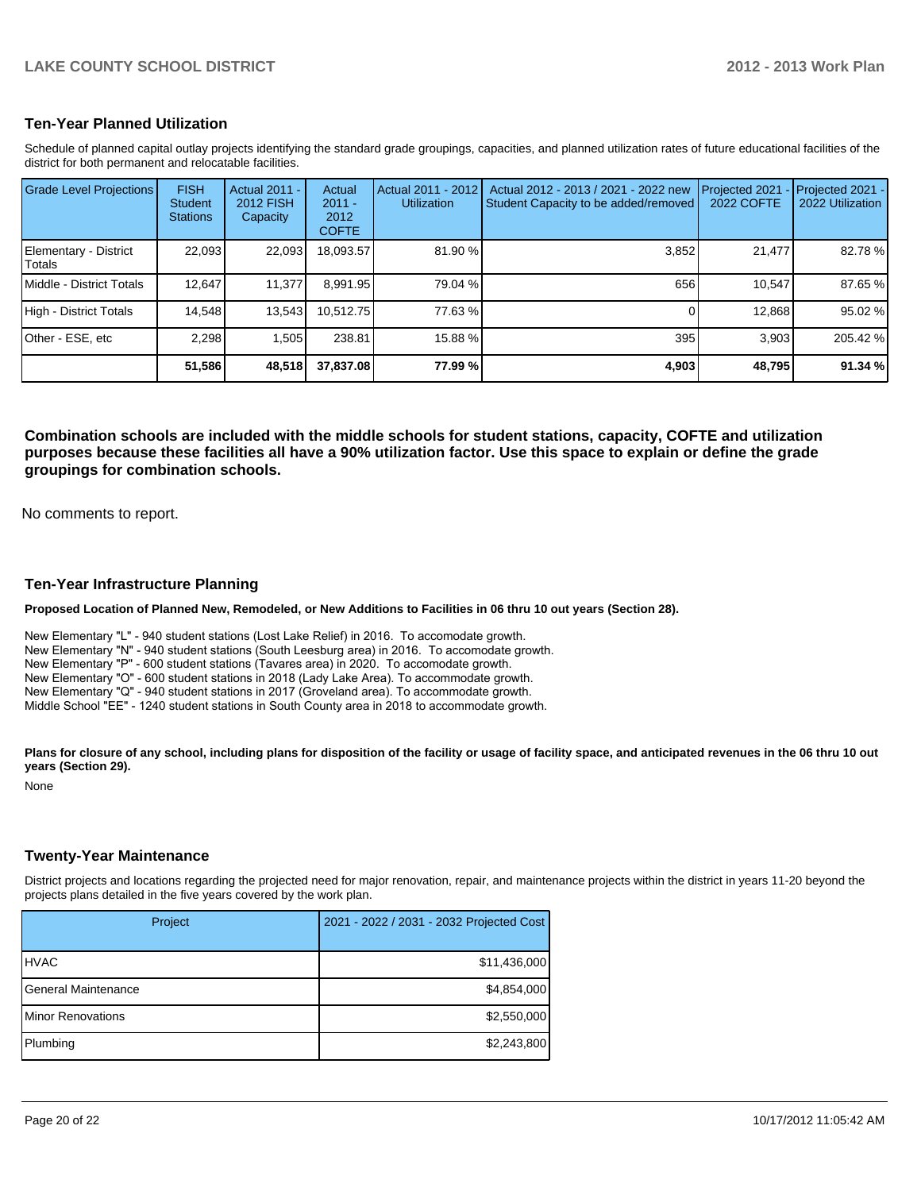#### **Ten-Year Planned Utilization**

Schedule of planned capital outlay projects identifying the standard grade groupings, capacities, and planned utilization rates of future educational facilities of the district for both permanent and relocatable facilities.

| <b>Grade Level Projections</b>   | <b>FISH</b><br><b>Student</b><br><b>Stations</b> | <b>Actual 2011 -</b><br><b>2012 FISH</b><br>Capacity | Actual<br>$2011 -$<br>2012<br><b>COFTE</b> | Actual 2011 - 2012<br><b>Utilization</b> | Actual 2012 - 2013 / 2021 - 2022 new<br>Student Capacity to be added/removed | Projected 2021<br><b>2022 COFTE</b> | Projected 2021 -<br>2022 Utilization |
|----------------------------------|--------------------------------------------------|------------------------------------------------------|--------------------------------------------|------------------------------------------|------------------------------------------------------------------------------|-------------------------------------|--------------------------------------|
| Elementary - District<br> Totals | 22,093                                           | 22,093                                               | 18,093.57                                  | 81.90%                                   | 3,852                                                                        | 21,477                              | 82.78%                               |
| <b>IMiddle - District Totals</b> | 12.647                                           | 11.377                                               | 8.991.95                                   | 79.04 %                                  | 656                                                                          | 10.547                              | 87.65 %                              |
| High - District Totals           | 14.548                                           | 13,543                                               | 10.512.75                                  | 77.63 %                                  |                                                                              | 12,868                              | 95.02 %                              |
| IOther - ESE. etc                | 2.298                                            | 1.505                                                | 238.81                                     | 15.88 %                                  | 395                                                                          | 3.903                               | 205.42 %                             |
|                                  | 51,586                                           | 48,518                                               | 37,837.08                                  | 77.99 %l                                 | 4,903                                                                        | 48,795                              | 91.34 %                              |

**Combination schools are included with the middle schools for student stations, capacity, COFTE and utilization purposes because these facilities all have a 90% utilization factor. Use this space to explain or define the grade groupings for combination schools.**

No comments to report.

#### **Ten-Year Infrastructure Planning**

**Proposed Location of Planned New, Remodeled, or New Additions to Facilities in 06 thru 10 out years (Section 28).**

New Elementary "L" - 940 student stations (Lost Lake Relief) in 2016. To accomodate growth. New Elementary "N" - 940 student stations (South Leesburg area) in 2016. To accomodate growth. New Elementary "P" - 600 student stations (Tavares area) in 2020. To accomodate growth. New Elementary "O" - 600 student stations in 2018 (Lady Lake Area). To accommodate growth. New Elementary "Q" - 940 student stations in 2017 (Groveland area). To accommodate growth. Middle School "EE" - 1240 student stations in South County area in 2018 to accommodate growth.

Plans for closure of any school, including plans for disposition of the facility or usage of facility space, and anticipated revenues in the 06 thru 10 out

**years (Section 29).** None

#### **Twenty-Year Maintenance**

District projects and locations regarding the projected need for major renovation, repair, and maintenance projects within the district in years 11-20 beyond the projects plans detailed in the five years covered by the work plan.

| Project                   | 2021 - 2022 / 2031 - 2032 Projected Cost |  |  |
|---------------------------|------------------------------------------|--|--|
| <b>IHVAC</b>              | \$11,436,000                             |  |  |
| General Maintenance       | \$4,854,000                              |  |  |
| <b>IMinor Renovations</b> | \$2,550,000                              |  |  |
| Plumbing                  | \$2,243,800                              |  |  |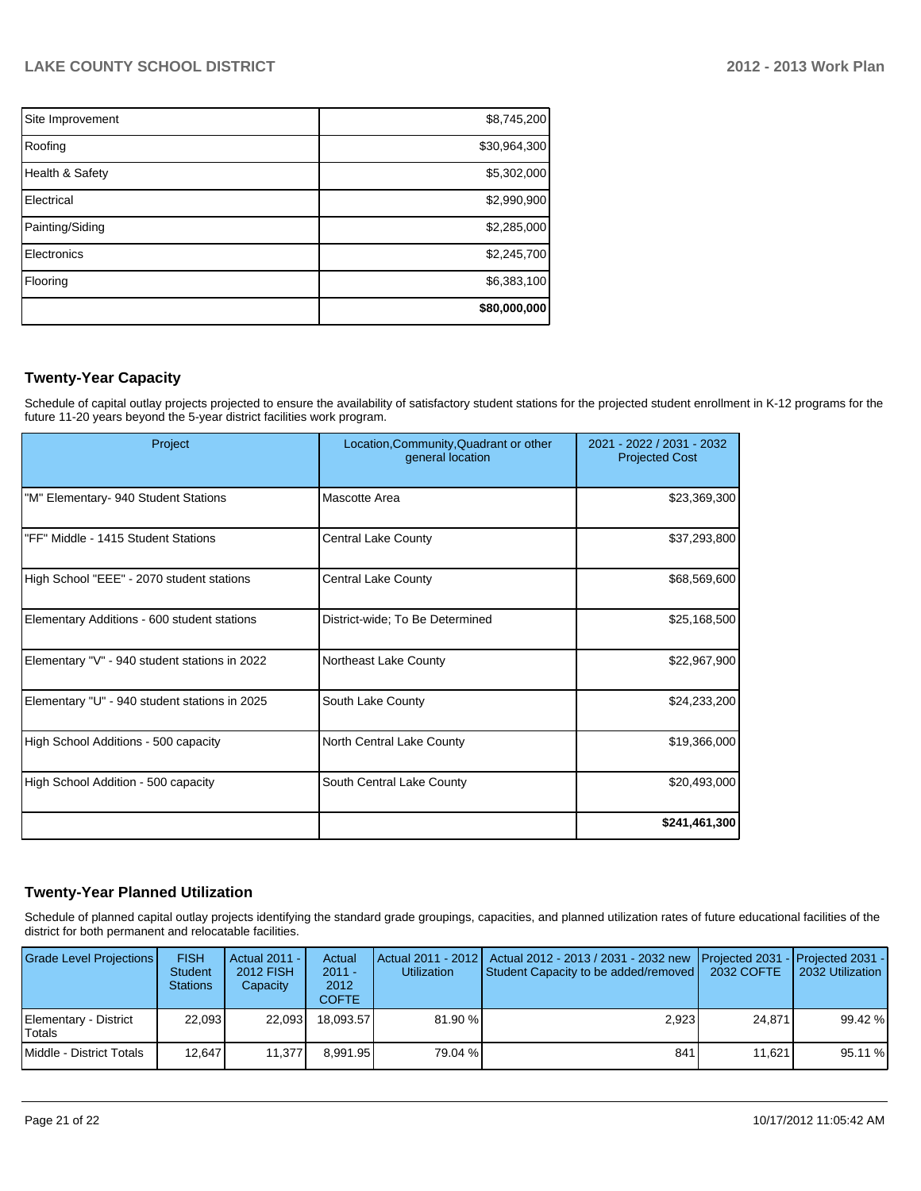| Site Improvement | \$8,745,200  |
|------------------|--------------|
| Roofing          | \$30,964,300 |
| Health & Safety  | \$5,302,000  |
| Electrical       | \$2,990,900  |
| Painting/Siding  | \$2,285,000  |
| Electronics      | \$2,245,700  |
| Flooring         | \$6,383,100  |
|                  | \$80,000,000 |

## **Twenty-Year Capacity**

Schedule of capital outlay projects projected to ensure the availability of satisfactory student stations for the projected student enrollment in K-12 programs for the future 11-20 years beyond the 5-year district facilities work program.

| Project                                       | Location, Community, Quadrant or other<br>general location | 2021 - 2022 / 2031 - 2032<br><b>Projected Cost</b> |
|-----------------------------------------------|------------------------------------------------------------|----------------------------------------------------|
| "M" Elementary- 940 Student Stations          | Mascotte Area                                              | \$23,369,300                                       |
| "FF" Middle - 1415 Student Stations           | <b>Central Lake County</b>                                 | \$37,293,800                                       |
| High School "EEE" - 2070 student stations     | <b>Central Lake County</b>                                 | \$68,569,600                                       |
| Elementary Additions - 600 student stations   | District-wide; To Be Determined                            | \$25,168,500                                       |
| Elementary "V" - 940 student stations in 2022 | Northeast Lake County                                      | \$22,967,900                                       |
| Elementary "U" - 940 student stations in 2025 | South Lake County                                          | \$24,233,200                                       |
| High School Additions - 500 capacity          | North Central Lake County                                  | \$19,366,000                                       |
| High School Addition - 500 capacity           | South Central Lake County                                  | \$20,493,000                                       |
|                                               |                                                            | \$241,461,300                                      |

#### **Twenty-Year Planned Utilization**

Schedule of planned capital outlay projects identifying the standard grade groupings, capacities, and planned utilization rates of future educational facilities of the district for both permanent and relocatable facilities.

| Grade Level Projections         | <b>FISH</b><br><b>Student</b><br><b>Stations</b> | Actual 2011 -<br>2012 FISH<br>Capacity | Actual<br>$2011 -$<br>2012<br>COFTE: | <b>Utilization</b> | Actual 2011 - 2012   Actual 2012 - 2013 / 2031 - 2032 new   Projected 2031 -   Projected 2031 -  <br>Student Capacity to be added/removed | 2032 COFTE | 2032 Utilization |
|---------------------------------|--------------------------------------------------|----------------------------------------|--------------------------------------|--------------------|-------------------------------------------------------------------------------------------------------------------------------------------|------------|------------------|
| Elementary - District<br>Totals | 22.093                                           | 22.093                                 | 18.093.57                            | $81.90\%$          | 2.923                                                                                                                                     | 24.871     | 99.42 %          |
| Middle - District Totals        | 12.647                                           | 11.377                                 | 8.991.95                             | 79.04 %            | 841                                                                                                                                       | 11.621     | 95.11 %          |